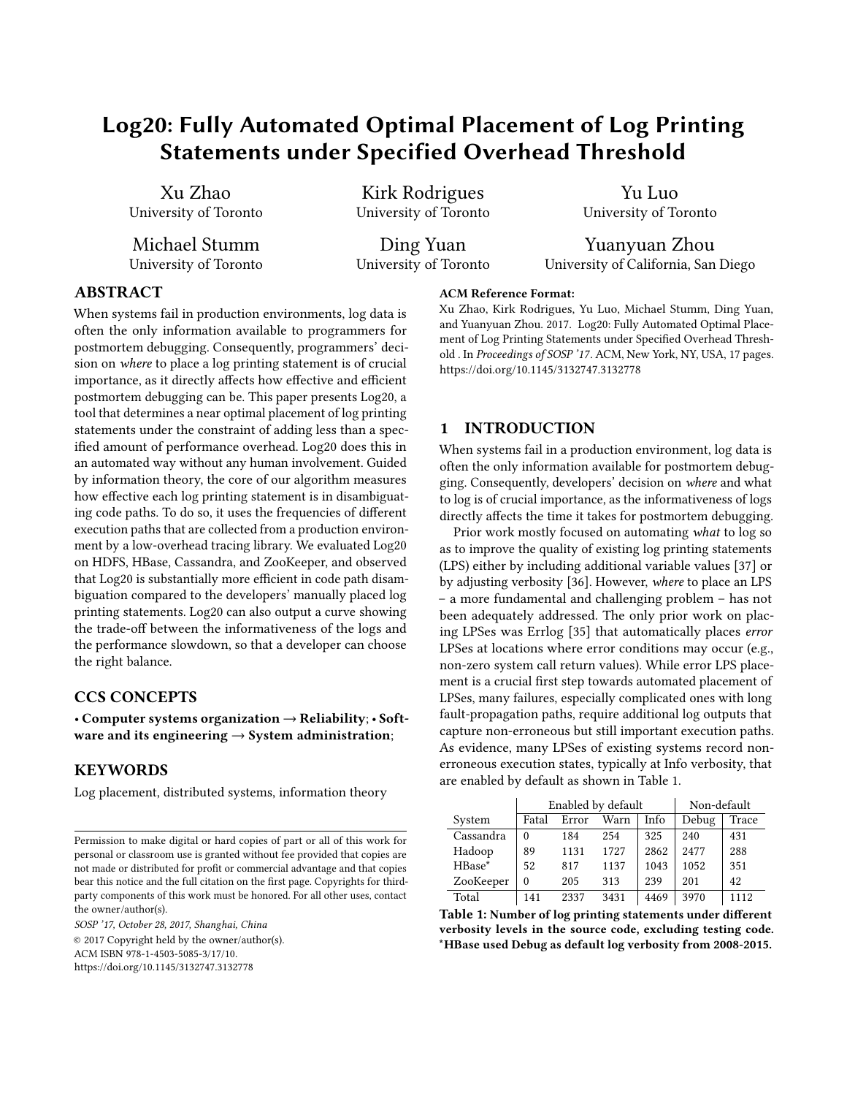# <span id="page-0-0"></span>Log20: Fully Automated Optimal Placement of Log Printing Statements under Specified Overhead Threshold

Xu Zhao University of Toronto

Michael Stumm University of Toronto

Kirk Rodrigues University of Toronto

Ding Yuan University of Toronto

Yu Luo University of Toronto

Yuanyuan Zhou University of California, San Diego

## ABSTRACT

When systems fail in production environments, log data is often the only information available to programmers for postmortem debugging. Consequently, programmers' decision on where to place a log printing statement is of crucial importance, as it directly affects how effective and efficient postmortem debugging can be. This paper presents Log20, a tool that determines a near optimal placement of log printing statements under the constraint of adding less than a specified amount of performance overhead. Log20 does this in an automated way without any human involvement. Guided by information theory, the core of our algorithm measures how effective each log printing statement is in disambiguating code paths. To do so, it uses the frequencies of different execution paths that are collected from a production environment by a low-overhead tracing library. We evaluated Log20 on HDFS, HBase, Cassandra, and ZooKeeper, and observed that Log20 is substantially more efficient in code path disambiguation compared to the developers' manually placed log printing statements. Log20 can also output a curve showing the trade-off between the informativeness of the logs and the performance slowdown, so that a developer can choose the right balance.

## CCS CONCEPTS

• Computer systems organization  $\rightarrow$  Reliability; • Software and its engineering  $\rightarrow$  System administration;

## KEYWORDS

Log placement, distributed systems, information theory

SOSP '17, October 28, 2017, Shanghai, China

© 2017 Copyright held by the owner/author(s). ACM ISBN 978-1-4503-5085-3/17/10.

<https://doi.org/10.1145/3132747.3132778>

#### ACM Reference Format:

Xu Zhao, Kirk Rodrigues, Yu Luo, Michael Stumm, Ding Yuan, and Yuanyuan Zhou. 2017. Log20: Fully Automated Optimal Placement of Log Printing Statements under Specified Overhead Threshold . In Proceedings of SOSP '17. ACM, New York, NY, USA, [17](#page-0-0) pages. <https://doi.org/10.1145/3132747.3132778>

## <span id="page-0-2"></span>1 INTRODUCTION

When systems fail in a production environment, log data is often the only information available for postmortem debugging. Consequently, developers' decision on where and what to log is of crucial importance, as the informativeness of logs directly affects the time it takes for postmortem debugging.

Prior work mostly focused on automating what to log so as to improve the quality of existing log printing statements (LPS) either by including additional variable values [\[37\]](#page-16-0) or by adjusting verbosity [\[36\]](#page-16-1). However, where to place an LPS – a more fundamental and challenging problem – has not been adequately addressed. The only prior work on placing LPSes was Errlog [\[35\]](#page-16-2) that automatically places error LPSes at locations where error conditions may occur (e.g., non-zero system call return values). While error LPS placement is a crucial first step towards automated placement of LPSes, many failures, especially complicated ones with long fault-propagation paths, require additional log outputs that capture non-erroneous but still important execution paths. As evidence, many LPSes of existing systems record nonerroneous execution states, typically at Info verbosity, that are enabled by default as shown in Table [1.](#page-0-1)

<span id="page-0-1"></span>

|           |          | Enabled by default | Non-default |      |       |       |
|-----------|----------|--------------------|-------------|------|-------|-------|
| System    | Fatal    | Error              | Warn        | Info | Debug | Trace |
| Cassandra | 0        | 184                | 254         | 325  | 240   | 431   |
| Hadoop    | 89       | 1131               | 1727        | 2862 | 2477  | 288   |
| HBase*    | 52       | 817                | 1137        | 1043 | 1052  | 351   |
| ZooKeeper | $\Omega$ | 205                | 313         | 239  | 201   | 42    |
| Total     | 141      | 2337               | 3431        | 4469 | 3970  | 1112  |

Table 1: Number of log printing statements under different verbosity levels in the source code, excluding testing code. \*HBase used Debug as default log verbosity from 2008-2015.

Permission to make digital or hard copies of part or all of this work for personal or classroom use is granted without fee provided that copies are not made or distributed for profit or commercial advantage and that copies bear this notice and the full citation on the first page. Copyrights for thirdparty components of this work must be honored. For all other uses, contact the owner/author(s).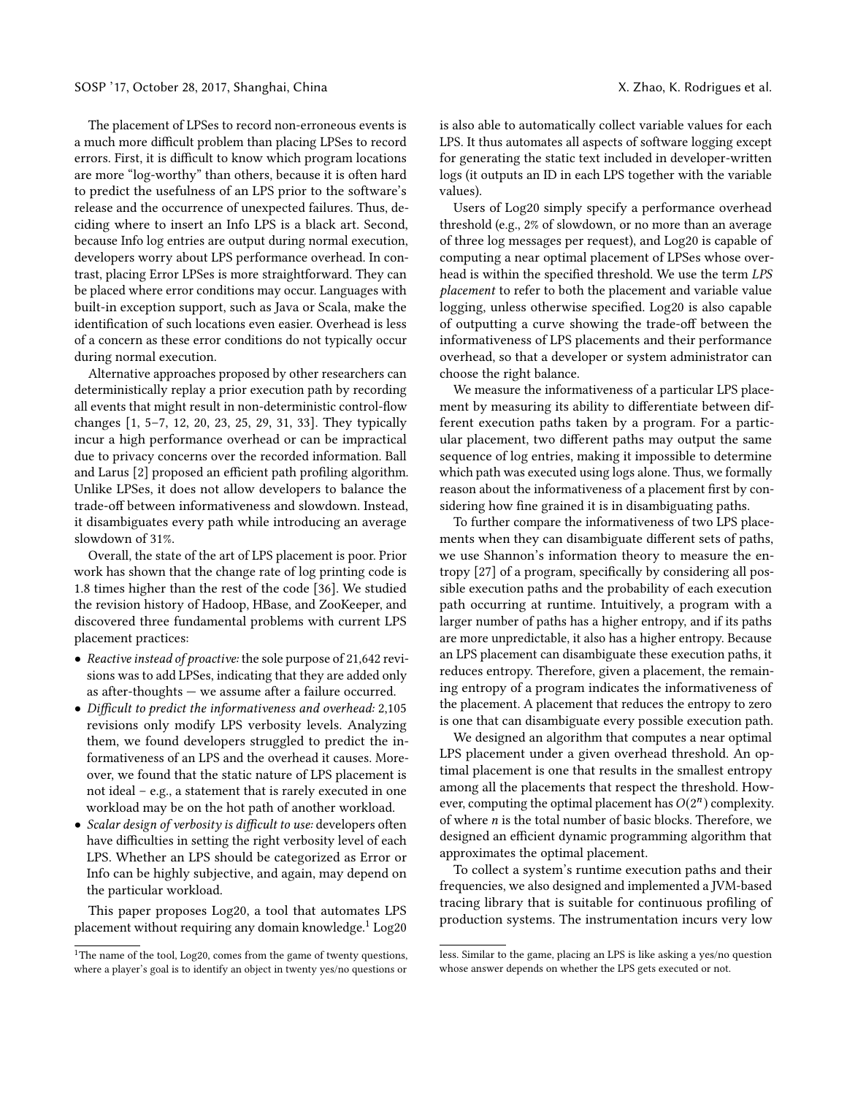The placement of LPSes to record non-erroneous events is a much more difficult problem than placing LPSes to record errors. First, it is difficult to know which program locations are more "log-worthy" than others, because it is often hard to predict the usefulness of an LPS prior to the software's release and the occurrence of unexpected failures. Thus, deciding where to insert an Info LPS is a black art. Second, because Info log entries are output during normal execution, developers worry about LPS performance overhead. In contrast, placing Error LPSes is more straightforward. They can be placed where error conditions may occur. Languages with built-in exception support, such as Java or Scala, make the identification of such locations even easier. Overhead is less of a concern as these error conditions do not typically occur during normal execution.

Alternative approaches proposed by other researchers can deterministically replay a prior execution path by recording all events that might result in non-deterministic control-flow changes [\[1,](#page-15-0) [5](#page-16-3)[–7,](#page-16-4) [12,](#page-16-5) [20,](#page-16-6) [23,](#page-16-7) [25,](#page-16-8) [29,](#page-16-9) [31,](#page-16-10) [33\]](#page-16-11). They typically incur a high performance overhead or can be impractical due to privacy concerns over the recorded information. Ball and Larus [\[2\]](#page-15-1) proposed an efficient path profiling algorithm. Unlike LPSes, it does not allow developers to balance the trade-off between informativeness and slowdown. Instead, it disambiguates every path while introducing an average slowdown of 31%.

Overall, the state of the art of LPS placement is poor. Prior work has shown that the change rate of log printing code is 1.8 times higher than the rest of the code [\[36\]](#page-16-1). We studied the revision history of Hadoop, HBase, and ZooKeeper, and discovered three fundamental problems with current LPS placement practices:

- Reactive instead of proactive: the sole purpose of 21,642 revisions was to add LPSes, indicating that they are added only as after-thoughts — we assume after a failure occurred.
- Difficult to predict the informativeness and overhead: 2,105 revisions only modify LPS verbosity levels. Analyzing them, we found developers struggled to predict the informativeness of an LPS and the overhead it causes. Moreover, we found that the static nature of LPS placement is not ideal – e.g., a statement that is rarely executed in one workload may be on the hot path of another workload.
- Scalar design of verbosity is difficult to use: developers often have difficulties in setting the right verbosity level of each LPS. Whether an LPS should be categorized as Error or Info can be highly subjective, and again, may depend on the particular workload.

This paper proposes Log20, a tool that automates LPS placement without requiring any domain knowledge.<sup>[1](#page-1-0)</sup> Log20

is also able to automatically collect variable values for each LPS. It thus automates all aspects of software logging except for generating the static text included in developer-written logs (it outputs an ID in each LPS together with the variable values).

Users of Log20 simply specify a performance overhead threshold (e.g., 2% of slowdown, or no more than an average of three log messages per request), and Log20 is capable of computing a near optimal placement of LPSes whose overhead is within the specified threshold. We use the term LPS placement to refer to both the placement and variable value logging, unless otherwise specified. Log20 is also capable of outputting a curve showing the trade-off between the informativeness of LPS placements and their performance overhead, so that a developer or system administrator can choose the right balance.

We measure the informativeness of a particular LPS placement by measuring its ability to differentiate between different execution paths taken by a program. For a particular placement, two different paths may output the same sequence of log entries, making it impossible to determine which path was executed using logs alone. Thus, we formally reason about the informativeness of a placement first by considering how fine grained it is in disambiguating paths.

To further compare the informativeness of two LPS placements when they can disambiguate different sets of paths, we use Shannon's information theory to measure the entropy [\[27\]](#page-16-12) of a program, specifically by considering all possible execution paths and the probability of each execution path occurring at runtime. Intuitively, a program with a larger number of paths has a higher entropy, and if its paths are more unpredictable, it also has a higher entropy. Because an LPS placement can disambiguate these execution paths, it reduces entropy. Therefore, given a placement, the remaining entropy of a program indicates the informativeness of the placement. A placement that reduces the entropy to zero is one that can disambiguate every possible execution path.

We designed an algorithm that computes a near optimal LPS placement under a given overhead threshold. An optimal placement is one that results in the smallest entropy among all the placements that respect the threshold. However, computing the optimal placement has  $O(2^n)$  complexity.<br>Of where *n* is the total number of basic blocks. Therefore, we of where  $n$  is the total number of basic blocks. Therefore, we designed an efficient dynamic programming algorithm that approximates the optimal placement.

To collect a system's runtime execution paths and their frequencies, we also designed and implemented a JVM-based tracing library that is suitable for continuous profiling of production systems. The instrumentation incurs very low

<span id="page-1-0"></span><sup>&</sup>lt;sup>1</sup>The name of the tool, Log20, comes from the game of twenty questions, where a player's goal is to identify an object in twenty yes/no questions or

less. Similar to the game, placing an LPS is like asking a yes/no question whose answer depends on whether the LPS gets executed or not.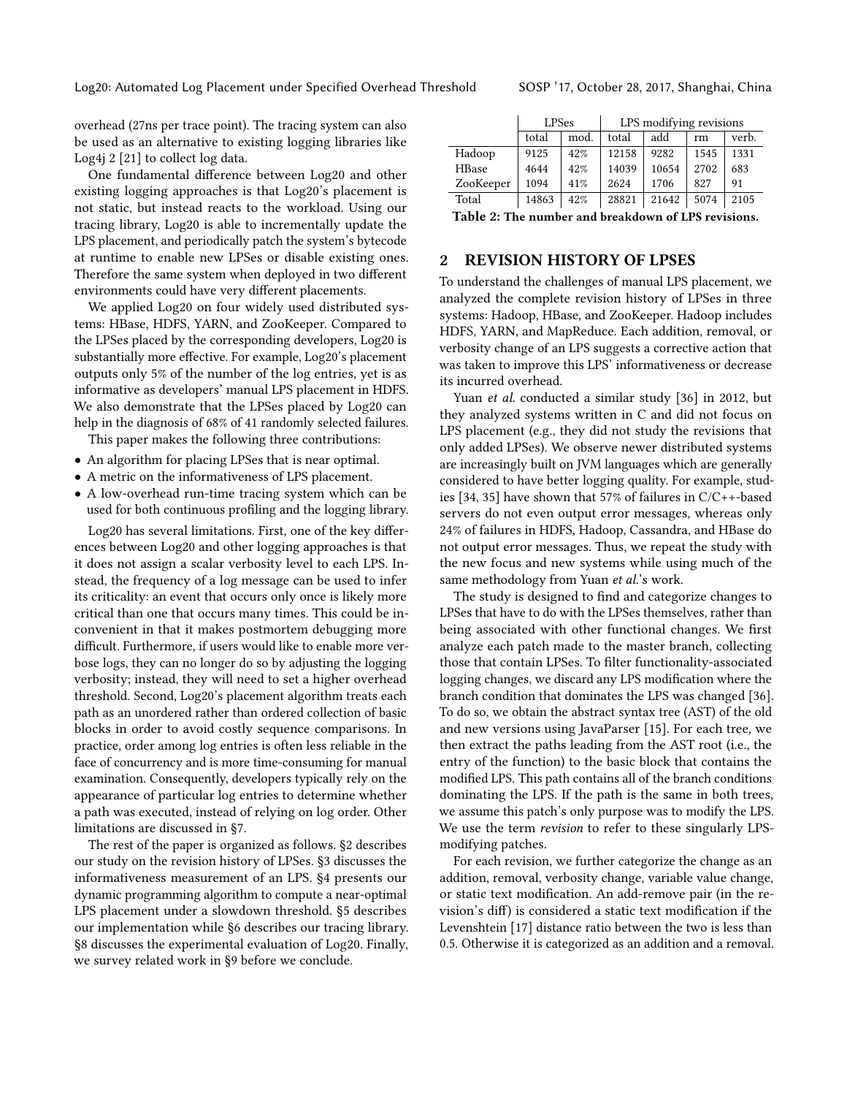Log20: Automated Log Placement under Specified Overhead Threshold SOSP '17, October 28, 2017, Shanghai, China

overhead (27ns per trace point). The tracing system can also be used as an alternative to existing logging libraries like Log4j 2 [\[21\]](#page-16-13) to collect log data.

One fundamental difference between Log20 and other existing logging approaches is that Log20's placement is not static, but instead reacts to the workload. Using our tracing library, Log20 is able to incrementally update the LPS placement, and periodically patch the system's bytecode at runtime to enable new LPSes or disable existing ones. Therefore the same system when deployed in two different environments could have very different placements.

We applied Log20 on four widely used distributed systems: HBase, HDFS, YARN, and ZooKeeper. Compared to the LPSes placed by the corresponding developers, Log20 is substantially more effective. For example, Log20's placement outputs only 5% of the number of the log entries, yet is as informative as developers' manual LPS placement in HDFS. We also demonstrate that the LPSes placed by Log20 can help in the diagnosis of 68% of 41 randomly selected failures.

This paper makes the following three contributions:

- An algorithm for placing LPSes that is near optimal.
- A metric on the informativeness of LPS placement.
- A low-overhead run-time tracing system which can be used for both continuous profiling and the logging library.

Log20 has several limitations. First, one of the key differences between Log20 and other logging approaches is that it does not assign a scalar verbosity level to each LPS. Instead, the frequency of a log message can be used to infer its criticality: an event that occurs only once is likely more critical than one that occurs many times. This could be inconvenient in that it makes postmortem debugging more difficult. Furthermore, if users would like to enable more verbose logs, they can no longer do so by adjusting the logging verbosity; instead, they will need to set a higher overhead threshold. Second, Log20's placement algorithm treats each path as an unordered rather than ordered collection of basic blocks in order to avoid costly sequence comparisons. In practice, order among log entries is often less reliable in the face of concurrency and is more time-consuming for manual examination. Consequently, developers typically rely on the appearance of particular log entries to determine whether a path was executed, instead of relying on log order. Other limitations are discussed in [§7.](#page-9-0)

The rest of the paper is organized as follows. [§2](#page-2-0) describes our study on the revision history of LPSes. [§3](#page-3-0) discusses the informativeness measurement of an LPS. [§4](#page-5-0) presents our dynamic programming algorithm to compute a near-optimal LPS placement under a slowdown threshold. [§5](#page-8-0) describes our implementation while [§6](#page-8-1) describes our tracing library. [§8](#page-10-0) discusses the experimental evaluation of Log20. Finally, we survey related work in [§9](#page-15-2) before we conclude.

<span id="page-2-1"></span>

|           | LPSes |      | LPS modifying revisions |       |      |       |  |
|-----------|-------|------|-------------------------|-------|------|-------|--|
|           | total | mod. | total                   | add   | rm   | verb. |  |
| Hadoop    | 9125  | 42%  | 12158                   | 9282  | 1545 | 1331  |  |
| HBase     | 4644  | 42%  | 14039                   | 10654 | 2702 | 683   |  |
| ZooKeeper | 1094  | 41%  | 2624                    | 1706  | 827  | 91    |  |
| Total     | 14863 | 42%  | 28821                   | 21642 | 5074 | 2105  |  |

Table 2: The number and breakdown of LPS revisions.

## <span id="page-2-0"></span>2 REVISION HISTORY OF LPSES

To understand the challenges of manual LPS placement, we analyzed the complete revision history of LPSes in three systems: Hadoop, HBase, and ZooKeeper. Hadoop includes HDFS, YARN, and MapReduce. Each addition, removal, or verbosity change of an LPS suggests a corrective action that was taken to improve this LPS' informativeness or decrease its incurred overhead.

Yuan et al. conducted a similar study [\[36\]](#page-16-1) in 2012, but they analyzed systems written in C and did not focus on LPS placement (e.g., they did not study the revisions that only added LPSes). We observe newer distributed systems are increasingly built on JVM languages which are generally considered to have better logging quality. For example, studies [\[34,](#page-16-14) [35\]](#page-16-2) have shown that 57% of failures in C/C++-based servers do not even output error messages, whereas only 24% of failures in HDFS, Hadoop, Cassandra, and HBase do not output error messages. Thus, we repeat the study with the new focus and new systems while using much of the same methodology from Yuan *et al.*'s work.

The study is designed to find and categorize changes to LPSes that have to do with the LPSes themselves, rather than being associated with other functional changes. We first analyze each patch made to the master branch, collecting those that contain LPSes. To filter functionality-associated logging changes, we discard any LPS modification where the branch condition that dominates the LPS was changed [\[36\]](#page-16-1). To do so, we obtain the abstract syntax tree (AST) of the old and new versions using JavaParser [\[15\]](#page-16-15). For each tree, we then extract the paths leading from the AST root (i.e., the entry of the function) to the basic block that contains the modified LPS. This path contains all of the branch conditions dominating the LPS. If the path is the same in both trees, we assume this patch's only purpose was to modify the LPS. We use the term revision to refer to these singularly LPSmodifying patches.

For each revision, we further categorize the change as an addition, removal, verbosity change, variable value change, or static text modification. An add-remove pair (in the revision's diff) is considered a static text modification if the Levenshtein [\[17\]](#page-16-16) distance ratio between the two is less than 0.5. Otherwise it is categorized as an addition and a removal.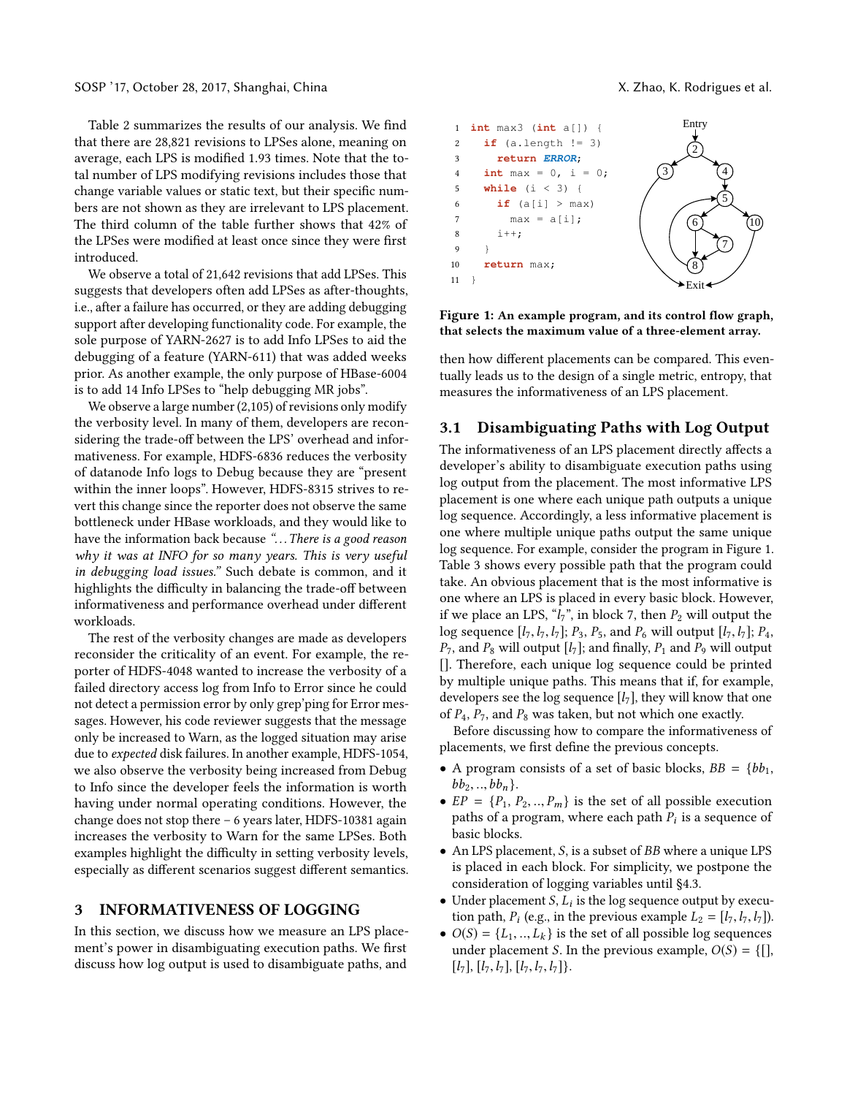Table [2](#page-2-1) summarizes the results of our analysis. We find that there are 28,821 revisions to LPSes alone, meaning on average, each LPS is modified 1.93 times. Note that the total number of LPS modifying revisions includes those that change variable values or static text, but their specific numbers are not shown as they are irrelevant to LPS placement. The third column of the table further shows that 42% of the LPSes were modified at least once since they were first introduced.

We observe a total of 21,642 revisions that add LPSes. This suggests that developers often add LPSes as after-thoughts, i.e., after a failure has occurred, or they are adding debugging support after developing functionality code. For example, the sole purpose of YARN-2627 is to add Info LPSes to aid the debugging of a feature (YARN-611) that was added weeks prior. As another example, the only purpose of HBase-6004 is to add 14 Info LPSes to "help debugging MR jobs".

We observe a large number (2,105) of revisions only modify the verbosity level. In many of them, developers are reconsidering the trade-off between the LPS' overhead and informativeness. For example, HDFS-6836 reduces the verbosity of datanode Info logs to Debug because they are "present within the inner loops". However, HDFS-8315 strives to revert this change since the reporter does not observe the same bottleneck under HBase workloads, and they would like to have the information back because "... There is a good reason why it was at INFO for so many years. This is very useful in debugging load issues." Such debate is common, and it highlights the difficulty in balancing the trade-off between informativeness and performance overhead under different workloads.

The rest of the verbosity changes are made as developers reconsider the criticality of an event. For example, the reporter of HDFS-4048 wanted to increase the verbosity of a failed directory access log from Info to Error since he could not detect a permission error by only grep'ping for Error messages. However, his code reviewer suggests that the message only be increased to Warn, as the logged situation may arise due to expected disk failures. In another example, HDFS-1054, we also observe the verbosity being increased from Debug to Info since the developer feels the information is worth having under normal operating conditions. However, the change does not stop there – 6 years later, HDFS-10381 again increases the verbosity to Warn for the same LPSes. Both examples highlight the difficulty in setting verbosity levels, especially as different scenarios suggest different semantics.

#### <span id="page-3-0"></span>3 INFORMATIVENESS OF LOGGING

In this section, we discuss how we measure an LPS placement's power in disambiguating execution paths. We first discuss how log output is used to disambiguate paths, and

<span id="page-3-1"></span>

Figure 1: An example program, and its control flow graph, that selects the maximum value of a three-element array.

then how different placements can be compared. This eventually leads us to the design of a single metric, entropy, that measures the informativeness of an LPS placement.

## 3.1 Disambiguating Paths with Log Output

The informativeness of an LPS placement directly affects a developer's ability to disambiguate execution paths using log output from the placement. The most informative LPS placement is one where each unique path outputs a unique log sequence. Accordingly, a less informative placement is one where multiple unique paths output the same unique log sequence. For example, consider the program in Figure [1.](#page-3-1) Table [3](#page-4-0) shows every possible path that the program could take. An obvious placement that is the most informative is one where an LPS is placed in every basic block. However, if we place an LPS, " $l_7$ ", in block 7, then  $P_2$  will output the log sequence  $[l_7, l_7, l_7]$ ;  $P_3$ ,  $P_5$ , and  $P_6$  will output  $[l_7, l_7]$ ;  $P_4$ ,  $P_7$ , and  $P_8$  will output [ $l_7$ ]; and finally,  $P_1$  and  $P_9$  will output []. Therefore, each unique log sequence could be printed by multiple unique paths. This means that if, for example, developers see the log sequence  $[l_7]$ , they will know that one of  $P_4$ ,  $P_7$ , and  $P_8$  was taken, but not which one exactly.

Before discussing how to compare the informativeness of placements, we first define the previous concepts.

- A program consists of a set of basic blocks,  $BB = \{bb_1,$  $bb_2, ..., bb_n$ .
- $EP = \{P_1, P_2, ..., P_m\}$  is the set of all possible execution paths of a program, where each path  $P_i$  is a sequence of basic blocks basic blocks.
- $\bullet$  An LPS placement, S, is a subset of BB where a unique LPS is placed in each block. For simplicity, we postpone the consideration of logging variables until [§4.3.](#page-7-0)
- Under placement  $S, L_i$  is the log sequence output by execu-<br>tion path,  $P_i$  (e.g., in the previous example  $L_2 = [L, L, L]$ ) tion path,  $P_i$  (e.g., in the previous example  $L_2 = [I_7, I_7, I_7]$ ).<br> $Q(S) = I_1, I_2$  is the set of all possible log sequences
- $O(S) = \{L_1, ..., L_k\}$  is the set of all possible log sequences under placement *S*. In the previous example,  $O(S) = \{[]$ ,  $[l_7], [l_7, l_7], [l_7, l_7, l_7]$ .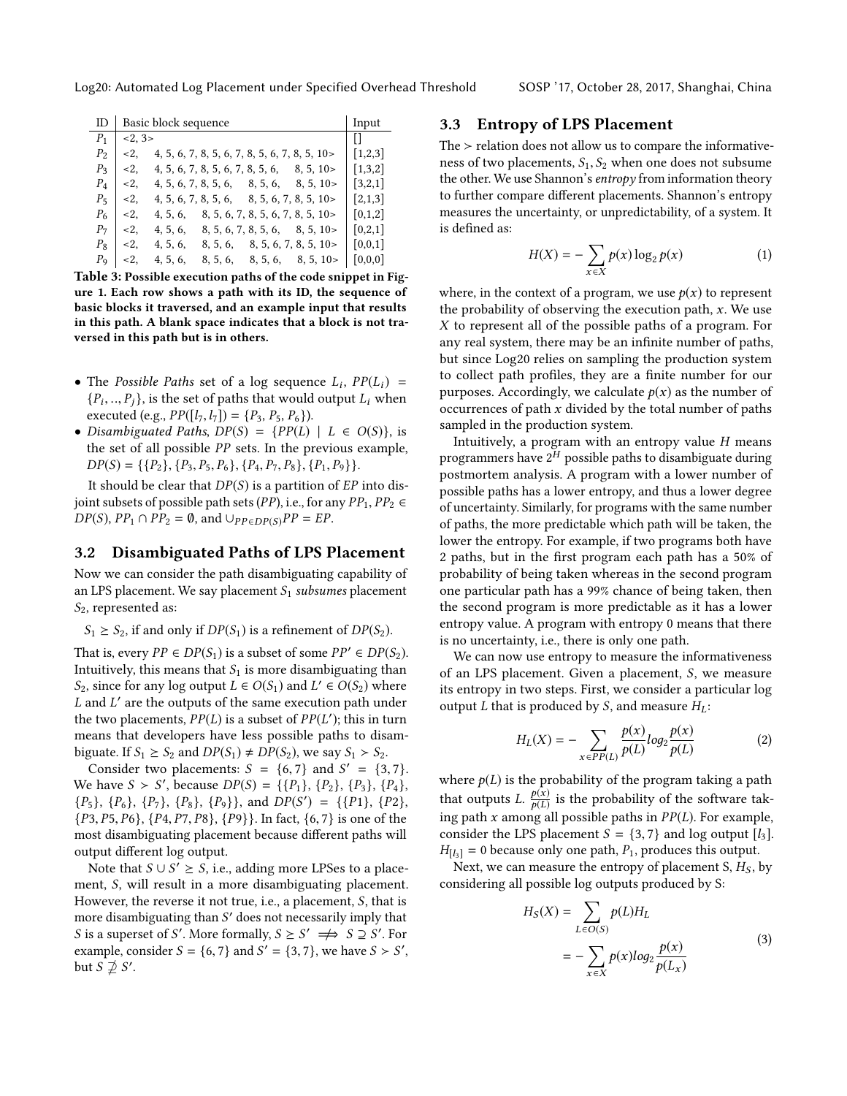<span id="page-4-0"></span>

| ID.     | Basic block sequence                                          | Input     |
|---------|---------------------------------------------------------------|-----------|
| $P_1$   | 2.3>                                                          |           |
| $P_2$   | 4, 5, 6, 7, 8, 5, 6, 7, 8, 5, 6, 7, 8, 5, 10 ><br>$<2$ .      | [1,2,3]   |
| $P_3$   | $<2$ .<br>$4, 5, 6, 7, 8, 5, 6, 7, 8, 5, 6, 8, 5, 10$         | $[1,3,2]$ |
| $P_4$   | $<2$ .<br>$4, 5, 6, 7, 8, 5, 6, 8, 5, 6, 8, 5, 10$            | [3,2,1]   |
| $P_5$   | $4, 5, 6, 7, 8, 5, 6, 8, 5, 6, 7, 8, 5, 10$<br><2.            | [2,1,3]   |
| $P_6$   | $4, 5, 6, 8, 5, 6, 7, 8, 5, 6, 7, 8, 5, 10$<br><2             | [0,1,2]   |
| $P_7$   | $4, 5, 6, 8, 5, 6, 7, 8, 5, 6, 8, 5, 10$<br>< 2               | [0,2,1]   |
| $P_8$   | $4, 5, 6, 8, 5, 6, 8, 5, 6, 7, 8, 5, 10$<br>$<2$ .            | [0,0,1]   |
| $P_{9}$ | 4, 5, 6,<br>8, 5, 6, 8, 5, 6, 8, 5, 10<br>$<$ 2,              | [0,0,0]   |
|         | Table 3: Possible execution paths of the code snippet in Fig- |           |

ure [1.](#page-3-1) Each row shows a path with its ID, the sequence of basic blocks it traversed, and an example input that results in this path. A blank space indicates that a block is not traversed in this path but is in others.

- The *Possible Paths* set of a log sequence  $L_i$ ,  $PP(L_i) =$ <br> $\{P_i, P_j\}$  is the set of paths that would output L when  $\{P_i, ..., P_j\}$ , is the set of paths that would output  $L_i$  when executed (e.g.  $P_i P(L_i | L_i) = I P_2 P_2 P_3$ ) executed (e.g.,  $PP([l_7, l_7]) = {P_3, P_5, P_6}$ ).
- Disambiguated Paths,  $DP(S) = \{ PP(L) | L \in O(S) \}$ , is the set of all possible PP sets. In the previous example,  $DP(S) = \{ \{P_2\}, \{P_3, P_5, P_6\}, \{P_4, P_7, P_8\}, \{P_1, P_9\} \}.$

It should be clear that  $DP(S)$  is a partition of  $EP$  into disjoint subsets of possible path sets (PP), i.e., for any  $PP_1, PP_2 \in$  $DP(S), PP_1 \cap PP_2 = \emptyset$ , and  $\cup_{PP \in DP(S)} PP = EP$ .

#### 3.2 Disambiguated Paths of LPS Placement

Now we can consider the path disambiguating capability of an LPS placement. We say placement  $S_1$  subsumes placement  $S_2$ , represented as:

 $S_1 \geq S_2$ , if and only if  $DP(S_1)$  is a refinement of  $DP(S_2)$ .

That is, every  $PP \in DP(S_1)$  is a subset of some  $PP' \in DP(S_2)$ . Intuitively, this means that  $S_1$  is more disambiguating than  $S_2$ , since for any log output  $L \in O(S_1)$  and  $L' \in O(S_2)$  where  $L$  and  $L'$  are the outputs of the same execution path under L and L' are the outputs of the same execution path under<br>the two placements  $PP(I)$  is a subset of  $PP(I')$ ; this in turn the two placements,  $PP(L)$  is a subset of  $PP(L')$ ; this in turn<br>means that developers have less possible paths to disammeans that developers have less possible paths to disambiguate. If  $S_1 \geq S_2$  and  $DP(S_1) \neq DP(S_2)$ , we say  $S_1 > S_2$ .

Consider two placements:  $S = \{6, 7\}$  and  $S' = \{3, 7\}$ . We have  $S > S'$ , because  $DP(S) = \{\{P_1\}, \{P_2\}, \{P_3\}, \{P_4\}, \{P_5\}, \{P_2\}, \{P_6\}, \{P_8\}, \{P_9\}, \{P_9\}, \{P_9\}, \{P_9\}, \{P_9\}, \{P_9\}, \{P_9\}, \{P_9\}, \{P_9\}, \{P_9\}, \{P_9\}, \{P_9\}, \{P_9\}, \{P_9\}, \{P_9\}, \{P_9\}, \{P_9\}, \{P_9\}, \{P_9\}, \{$  $\{P_5\}$ ,  $\{P_6\}$ ,  $\{P_7\}$ ,  $\{P_8\}$ ,  $\{P_9\}$ , and  $DP(S') = \{\{P1\}$ ,  $\{P2\}$ ,  $\{P3, P5, P6\}$   $\{P4, P7, P8\}$   $\{P90\}$  In fact  $\{6, 7\}$  is one of the {P3, P5, P6}, {P4, P7, P8}, {P9}}. In fact, {6, <sup>7</sup>} is one of the most disambiguating placement because different paths will output different log output.

Note that  $S \cup S' \geq S$ , i.e., adding more LPSes to a place-<br>ent. S, will result in a more disambiguating placement. ment, S, will result in a more disambiguating placement. However, the reverse it not true, i.e., a placement, S, that is more disambiguating than S' does not necessarily imply that  $S$  is a superset of  $S'$ . More formally  $S > S' \rightarrow S \cap S'$  For S is a superset of S'. More formally,  $S \ge S' \implies S \supseteq S'$ . For example, consider  $S = \{6, 7\}$  and  $S' = \{3, 7\}$ , we have  $S \setminus S'$ . example, consider  $S = \{6, 7\}$  and  $S' = \{3, 7\}$ , we have  $S > S'$ , but  $S \npreceq S'$ but  $S \not\supseteq S'$ .

#### 3.3 Entropy of LPS Placement

The  $>$  relation does not allow us to compare the informativeness of two placements,  $S_1, S_2$  when one does not subsume the other. We use Shannon's entropy from information theory to further compare different placements. Shannon's entropy measures the uncertainty, or unpredictability, of a system. It is defined as:

$$
H(X) = -\sum_{x \in X} p(x) \log_2 p(x) \tag{1}
$$

where, in the context of a program, we use  $p(x)$  to represent the probability of observing the execution path,  $x$ . We use X to represent all of the possible paths of a program. For any real system, there may be an infinite number of paths, but since Log20 relies on sampling the production system to collect path profiles, they are a finite number for our purposes. Accordingly, we calculate  $p(x)$  as the number of occurrences of path  $x$  divided by the total number of paths sampled in the production system.

Intuitively, a program with an entropy value  $H$  means programmers have  $2^{\overline{H}}$  possible paths to disambiguate during postmortem analysis. A program with a lower number of possible paths has a lower entropy, and thus a lower degree of uncertainty. Similarly, for programs with the same number of paths, the more predictable which path will be taken, the lower the entropy. For example, if two programs both have 2 paths, but in the first program each path has a 50% of probability of being taken whereas in the second program one particular path has a 99% chance of being taken, then the second program is more predictable as it has a lower entropy value. A program with entropy 0 means that there is no uncertainty, i.e., there is only one path.

We can now use entropy to measure the informativeness of an LPS placement. Given a placement, S, we measure its entropy in two steps. First, we consider a particular log output  $L$  that is produced by  $S$ , and measure  $H_L$ :

$$
H_L(X) = -\sum_{x \in PP(L)} \frac{p(x)}{p(L)} log_2 \frac{p(x)}{p(L)}
$$
 (2)

where  $p(L)$  is the probability of the program taking a path that outputs L.  $\frac{p(x)}{p(L)}$  $\frac{p(x)}{p(L)}$  is the probability of the software taking path  $x$  among all possible paths in  $PP(L)$ . For example, consider the LPS placement  $S = \{3, 7\}$  and log output  $[l_3]$ .  $H_{[l_3]} = 0$  because only one path,  $P_1$ , produces this output.

Next, we can measure the entropy of placement  $S$ ,  $H_S$ , by considering all possible log outputs produced by S:

$$
H_S(X) = \sum_{L \in O(S)} p(L)H_L
$$
  
= 
$$
-\sum_{x \in X} p(x)log_2 \frac{p(x)}{p(L_x)}
$$
 (3)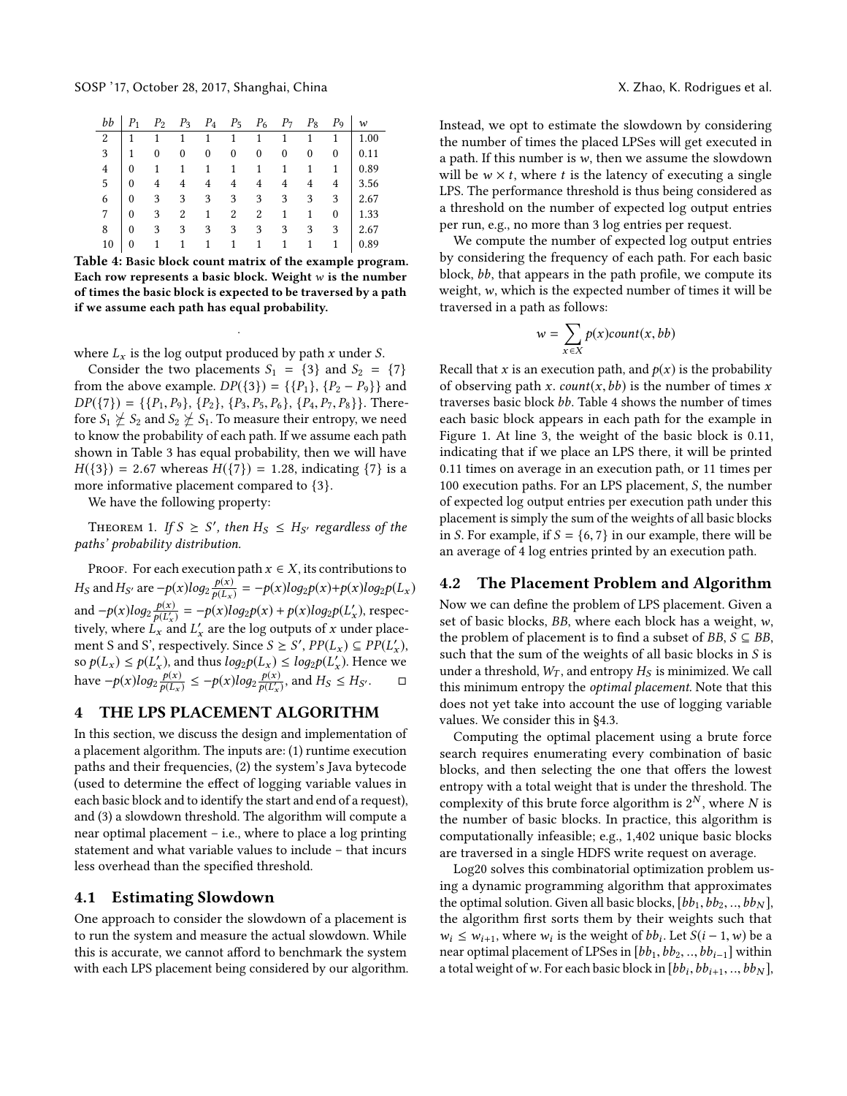<span id="page-5-1"></span>

| bb             |   | $P_2$    | $P_3$          | $P_4$    | $P_5$          | $P_6$ | $P_7$    | $P_8$ | $P_{9}$  | $\boldsymbol{w}$ |
|----------------|---|----------|----------------|----------|----------------|-------|----------|-------|----------|------------------|
| $\overline{2}$ |   |          |                |          | 1              |       |          |       |          | 1.00             |
| 3              |   | $\theta$ | $\theta$       | $\theta$ | 0              | 0     | $\theta$ | 0     | $\theta$ | 0.11             |
| 4              | 0 | 1        |                | 1        | 1              | 1     | 1        |       | 1        | 0.89             |
| 5              | 0 | 4        | 4              | 4        | 4              | 4     | 4        | 4     | 4        | 3.56             |
| 6              | 0 | 3        | 3              | 3        | 3              | 3     | 3        | 3     | 3        | 2.67             |
|                | 0 | 3        | $\overline{2}$ | 1        | $\overline{2}$ | 2     | 1        |       | $\theta$ | 1.33             |
| 8              | 0 | 3        | 3              | 3        | 3              | 3     | 3        | 3     | 3        | 2.67             |
| 10             |   |          |                |          |                |       | 1        |       |          | 0.89             |

Table 4: Basic block count matrix of the example program. Each row represents a basic block. Weight  $w$  is the number of times the basic block is expected to be traversed by a path if we assume each path has equal probability.

.

where  $L_x$  is the log output produced by path x under S.

Consider the two placements  $S_1 = \{3\}$  and  $S_2 = \{7\}$ from the above example.  $DP({3}) = {P_1}, {P_2 - P_9}$  and  $DP({7}) = {\{P_1, P_9\}, \{P_2\}, \{P_3, P_5, P_6\}, \{P_4, P_7, P_8\}}$ . Therefore  $S_1 \not\geq S_2$  and  $S_2 \not\geq S_1$ . To measure their entropy, we need to know the probability of each path. If we assume each path shown in Table [3](#page-4-0) has equal probability, then we will have  $H({3}) = 2.67$  whereas  $H({7}) = 1.28$ , indicating  ${7}$  is a more informative placement compared to  $\{3\}$ .

We have the following property:

THEOREM 1. If  $S \geq S'$ , then  $H_S \leq H_{S'}$  regardless of the the incredibility distribution paths' probability distribution.

PROOF. For each execution path  $x \in X$ , its contributions to H<sub>S</sub> and H<sub>S</sub>' are  $-p(x)log_2\frac{p(x)}{p(L_x)}$  $\frac{p(x)}{p(L_x)} = -p(x)log_2p(x) + p(x)log_2p(L_x)$ and  $-p(x)log_2 \frac{p(x)}{p(L'_x)}$  $\frac{p(x)}{p(L'_x)} = -p(x)log_2 p(x) + p(x)log_2 p(L'_x)$  $x$ ), respectively, where  $L'_x$  and  $L'_x$  are the log outputs of x under place-<br>ment S and S' respectively. Since  $S \ge S'$  *PP(I)*  $\subset PP(I')$ ment S and S', respectively. Since  $S \geq S'$ ,  $PP(L_x) \subseteq PP(L'_x)$ ,<br>so  $P(L_x) \leq P(L'_x)$  and thus  $log_P(L_x) \leq log_P(L'_x)$ . Hence we so  $p(L_x) \leq p(L'_x)$ , and thus  $log_2 p(L_x) \leq log_2 p(L'_x)$ . Hence w  $\sum_{p(x)}$ , and thus  $log_2p(L_x) \leq log_2p(L'_x)$  $\frac{x}{x}$ ). Hence we have  $-p(x)log_2\frac{p(x)}{p(L_x)}$  $\frac{p(x)}{p(L_x)} \leq -p(x)log_2 \frac{p(x)}{p(L'_x)}$  $\frac{p(x)}{p(L'_x)}$ , and  $H_S \leq H_{S'}$ .  $\Box$ 

#### <span id="page-5-0"></span>4 THE LPS PLACEMENT ALGORITHM

In this section, we discuss the design and implementation of a placement algorithm. The inputs are: (1) runtime execution paths and their frequencies, (2) the system's Java bytecode (used to determine the effect of logging variable values in each basic block and to identify the start and end of a request), and (3) a slowdown threshold. The algorithm will compute a near optimal placement – i.e., where to place a log printing statement and what variable values to include – that incurs less overhead than the specified threshold.

#### 4.1 Estimating Slowdown

One approach to consider the slowdown of a placement is to run the system and measure the actual slowdown. While this is accurate, we cannot afford to benchmark the system with each LPS placement being considered by our algorithm. Instead, we opt to estimate the slowdown by considering the number of times the placed LPSes will get executed in a path. If this number is w, then we assume the slowdown will be  $w \times t$ , where t is the latency of executing a single LPS. The performance threshold is thus being considered as a threshold on the number of expected log output entries per run, e.g., no more than 3 log entries per request.

We compute the number of expected log output entries by considering the frequency of each path. For each basic block, bb, that appears in the path profile, we compute its weight, w, which is the expected number of times it will be traversed in a path as follows:

$$
w = \sum_{x \in X} p(x) count(x, bb)
$$

Recall that x is an execution path, and  $p(x)$  is the probability<br>of observing path x, count(x, bb) is the number of times x of observing path x. count(x, bb) is the number of times x traverses basic block bb. Table [4](#page-5-1) shows the number of times each basic block appears in each path for the example in Figure [1.](#page-3-1) At line 3, the weight of the basic block is 0.11, indicating that if we place an LPS there, it will be printed 0.11 times on average in an execution path, or 11 times per 100 execution paths. For an LPS placement, S, the number of expected log output entries per execution path under this placement is simply the sum of the weights of all basic blocks in S. For example, if  $S = \{6, 7\}$  in our example, there will be an average of 4 log entries printed by an execution path.

#### 4.2 The Placement Problem and Algorithm

Now we can define the problem of LPS placement. Given a set of basic blocks, BB, where each block has a weight, w, the problem of placement is to find a subset of BB,  $S \subseteq BB$ , such that the sum of the weights of all basic blocks in S is under a threshold,  $W_T$ , and entropy  $H_S$  is minimized. We call this minimum entropy the optimal placement. Note that this does not yet take into account the use of logging variable values. We consider this in [§4.3.](#page-7-0)

Computing the optimal placement using a brute force search requires enumerating every combination of basic blocks, and then selecting the one that offers the lowest entropy with a total weight that is under the threshold. The complexity of this brute force algorithm is  $2^N$ , where N is<br>the number of basic blocks. In practice, this algorithm is the number of basic blocks. In practice, this algorithm is computationally infeasible; e.g., 1,402 unique basic blocks are traversed in a single HDFS write request on average.

Log20 solves this combinatorial optimization problem using a dynamic programming algorithm that approximates the optimal solution. Given all basic blocks,  $[bb_1, bb_2, ..., bb_N]$ , the algorithm first sorts them by their weights such that  $w_i \leq w_{i+1}$ , where  $w_i$  is the weight of  $bb_i$ . Let  $S(i-1, w)$  be a near optimal placement of I PSes in  $[hh, hh, hh]$ , l within near optimal placement of LPSes in  $[bb_1, bb_2, ..., bb_{i-1}]$  within a total weight of w. For each basic block in  $[bb_i, bb_{i+1}, ..., bb_N]$ ,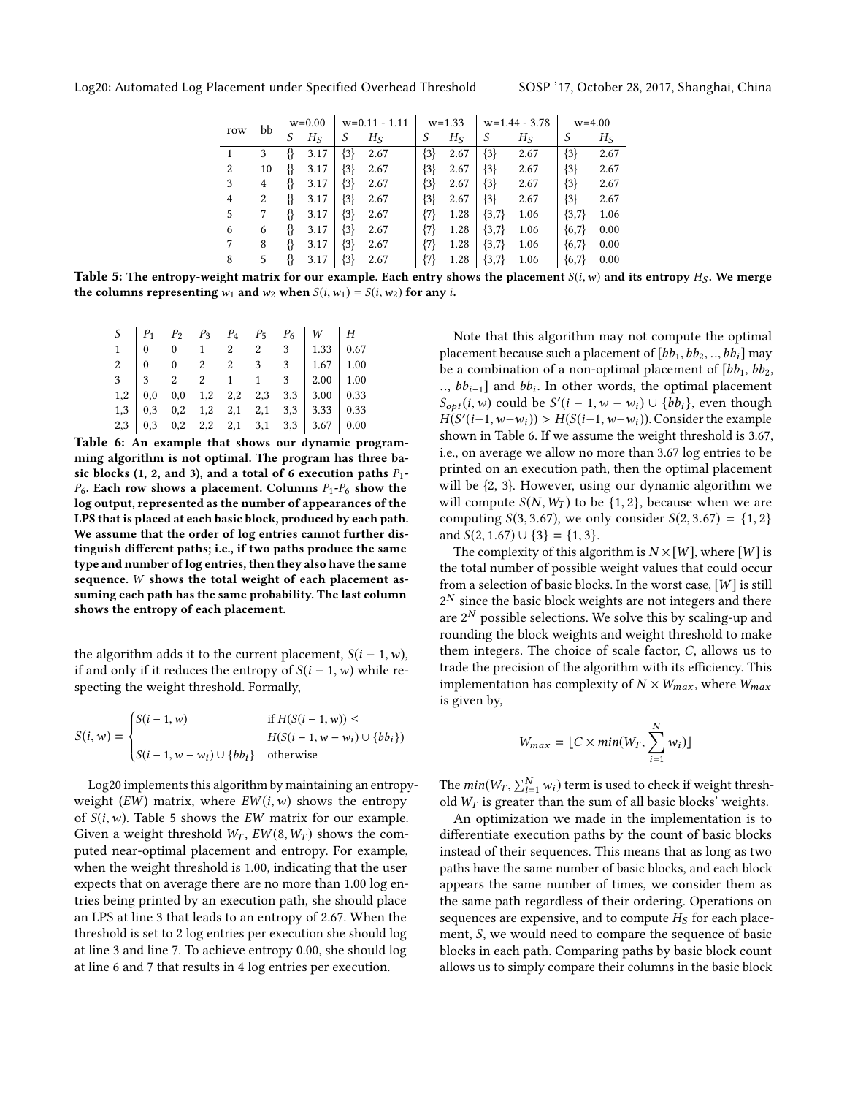<span id="page-6-0"></span>Log20: Automated Log Placement under Specified Overhead Threshold SOSP '17, October 28, 2017, Shanghai, China

|     | bb             |    | $w=0.00$ |       | $w=0.11 - 1.11$ |       | $w=1.33$ |           | $w=1.44 - 3.78$ | $w=4.00$  |       |
|-----|----------------|----|----------|-------|-----------------|-------|----------|-----------|-----------------|-----------|-------|
| row |                | S  | $H_S$    | S     | $H_S$           | S     | $H_S$    | S         | $H_S$           | S         | $H_S$ |
|     | 3              | 유  | 3.17     | ${3}$ | 2.67            | ${3}$ | 2.67     | ${3}$     | 2.67            | {3}       | 2.67  |
| 2   | 10             | 욥  | 3.17     | ${3}$ | 2.67            | ${3}$ | 2.67     | ${3}$     | 2.67            | ${3}$     | 2.67  |
| 3   | 4              | 욥  | 3.17     | ${3}$ | 2.67            | {3}   | 2.67     | ${3}$     | 2.67            | ${3}$     | 2.67  |
| 4   | $\overline{2}$ | 욥  | 3.17     | ${3}$ | 2.67            | {3}   | 2.67     | ${3}$     | 2.67            | $\{3\}$   | 2.67  |
| 5   | 7              | 욥  | 3.17     | ${3}$ | 2.67            | {7}   | 1.28     | $\{3,7\}$ | 1.06            | $\{3,7\}$ | 1.06  |
| 6   | 6              | 욥  | 3.17     | ${3}$ | 2.67            | {7}   | 1.28     | $\{3,7\}$ | 1.06            | ${6,7}$   | 0.00  |
| 7   | 8              | 욥  | 3.17     | ${3}$ | 2.67            | {7}   | 1.28     | $\{3,7\}$ | 1.06            | ${6,7}$   | 0.00  |
| 8   | 5              | {} | 3.17     | ${3}$ | 2.67            | {7}   | 1.28     | $\{3,7\}$ | 1.06            | $\{6,7\}$ | 0.00  |
|     |                |    |          |       |                 |       |          |           |                 |           |       |

Table 5: The entropy-weight matrix for our example. Each entry shows the placement  $S(i, w)$  and its entropy  $H_S$ . We merge the columns representing  $w_1$  and  $w_2$  when  $S(i, w_1) = S(i, w_2)$  for any i.

<span id="page-6-1"></span>

|  |  |  | $S$   $P_1$ $P_2$ $P_3$ $P_4$ $P_5$ $P_6$   $W$   $H$                                                                                                                                                                                                                                             |  |
|--|--|--|---------------------------------------------------------------------------------------------------------------------------------------------------------------------------------------------------------------------------------------------------------------------------------------------------|--|
|  |  |  |                                                                                                                                                                                                                                                                                                   |  |
|  |  |  |                                                                                                                                                                                                                                                                                                   |  |
|  |  |  |                                                                                                                                                                                                                                                                                                   |  |
|  |  |  | $\begin{tabular}{c cccccc} 1 & 0 & 0 & 1 & 2 & 2 & 3 & 1.33 & 0.67 \\ 2 & 0 & 0 & 2 & 2 & 3 & 3 & 1.67 & 1.00 \\ 3 & 3 & 2 & 2 & 1 & 1 & 3 & 2.00 & 1.00 \\ 1,2 & 0,0 & 0,0 & 1,2 & 2,2 & 2,3 & 3,3 & 3.00 & 0.33 \\ 1,3 & 0,3 & 0,2 & 1,2 & 2,1 & 2,1 & 3,3 & 3.33 & 0.33 \\ 2,3 & 0,3 & 0,2 & $ |  |
|  |  |  |                                                                                                                                                                                                                                                                                                   |  |
|  |  |  |                                                                                                                                                                                                                                                                                                   |  |

Table 6: An example that shows our dynamic programming algorithm is not optimal. The program has three basic blocks (1, 2, and 3), and a total of 6 execution paths  $P_1$ - $P_6$ . Each row shows a placement. Columns  $P_1-P_6$  show the log output, represented as the number of appearances of the LPS that is placed at each basic block, produced by each path. We assume that the order of log entries cannot further distinguish different paths; i.e., if two paths produce the same type and number of log entries, then they also have the same sequence. W shows the total weight of each placement assuming each path has the same probability. The last column shows the entropy of each placement.

the algorithm adds it to the current placement,  $S(i - 1, w)$ , if and only if it reduces the entropy of  $S(i - 1, w)$  while respecting the weight threshold. Formally,

$$
S(i, w) = \begin{cases} S(i-1, w) & \text{if } H(S(i-1, w)) \leq \\ S(i-1, w-w_i) \cup \{bb\} & \text{otherwise} \end{cases}
$$

Log20 implements this algorithm by maintaining an entropyweight (EW) matrix, where  $EW(i, w)$  shows the entropy of  $S(i, w)$ . Table [5](#page-6-0) shows the EW matrix for our example. Given a weight threshold  $W_T$ ,  $EW(8, W_T)$  shows the computed near-optimal placement and entropy. For example, when the weight threshold is 1.00, indicating that the user expects that on average there are no more than 1.00 log entries being printed by an execution path, she should place an LPS at line 3 that leads to an entropy of 2.67. When the threshold is set to 2 log entries per execution she should log at line 3 and line 7. To achieve entropy 0.00, she should log at line 6 and 7 that results in 4 log entries per execution.

Note that this algorithm may not compute the optimal placement because such a placement of  $[bb_1, bb_2, \ldots, bb_i]$  may be a combination of a non-optimal placement of  $[bb_1, bb_2,$ ..,  $bb_{i-1}$  and  $bb_i$ . In other words, the optimal placement  $S_i$  (*i* w) could be  $S'(i-1, w-w)$  + *l* bb, even though  $S_{opt}(i, w)$  could be  $S'(i - 1, w - w_i) \cup \{bb_i\}$ , even though  $H(S'(i-1, w-w_i)) > H(S(i-1, w-w_i))$  Consider the example  $H(S'(i-1, w-w_i)) > H(S(i-1, w-w_i))$ . Consider the example shown in Table 6, If we assume the weight threshold is 3.67 shown in Table [6.](#page-6-1) If we assume the weight threshold is 3.67, i.e., on average we allow no more than 3.67 log entries to be printed on an execution path, then the optimal placement will be {2, 3}. However, using our dynamic algorithm we will compute  $S(N, W_T)$  to be  $\{1, 2\}$ , because when we are computing  $S(3, 3.67)$ , we only consider  $S(2, 3.67) = \{1, 2\}$ and  $S(2, 1.67) \cup \{3\} = \{1, 3\}.$ 

The complexity of this algorithm is  $N \times [W]$ , where [W] is the total number of possible weight values that could occur from a selection of basic blocks. In the worst case,  $[W]$  is still  $2^{\mathcal{N}}$  since the basic block weights are not integers and there are  $2^N$  possible selections. We solve this by scaling-up and rounding the block weights and weight threshold to make them integers. The choice of scale factor, C, allows us to trade the precision of the algorithm with its efficiency. This implementation has complexity of  $N \times W_{max}$ , where  $W_{max}$ is given by,

$$
W_{max} = \left[ C \times min(W_T, \sum_{i=1}^{N} w_i) \right]
$$

The  $min(W_T, \sum_{i=1}^{N} w_i)$  term is used to check if weight thresh-<br>old  $W_T$  is greater than the sum of all basic blocks' weights old  $W_T$  is greater than the sum of all basic blocks' weights.

An optimization we made in the implementation is to differentiate execution paths by the count of basic blocks instead of their sequences. This means that as long as two paths have the same number of basic blocks, and each block appears the same number of times, we consider them as the same path regardless of their ordering. Operations on sequences are expensive, and to compute  $H<sub>S</sub>$  for each placement, S, we would need to compare the sequence of basic blocks in each path. Comparing paths by basic block count allows us to simply compare their columns in the basic block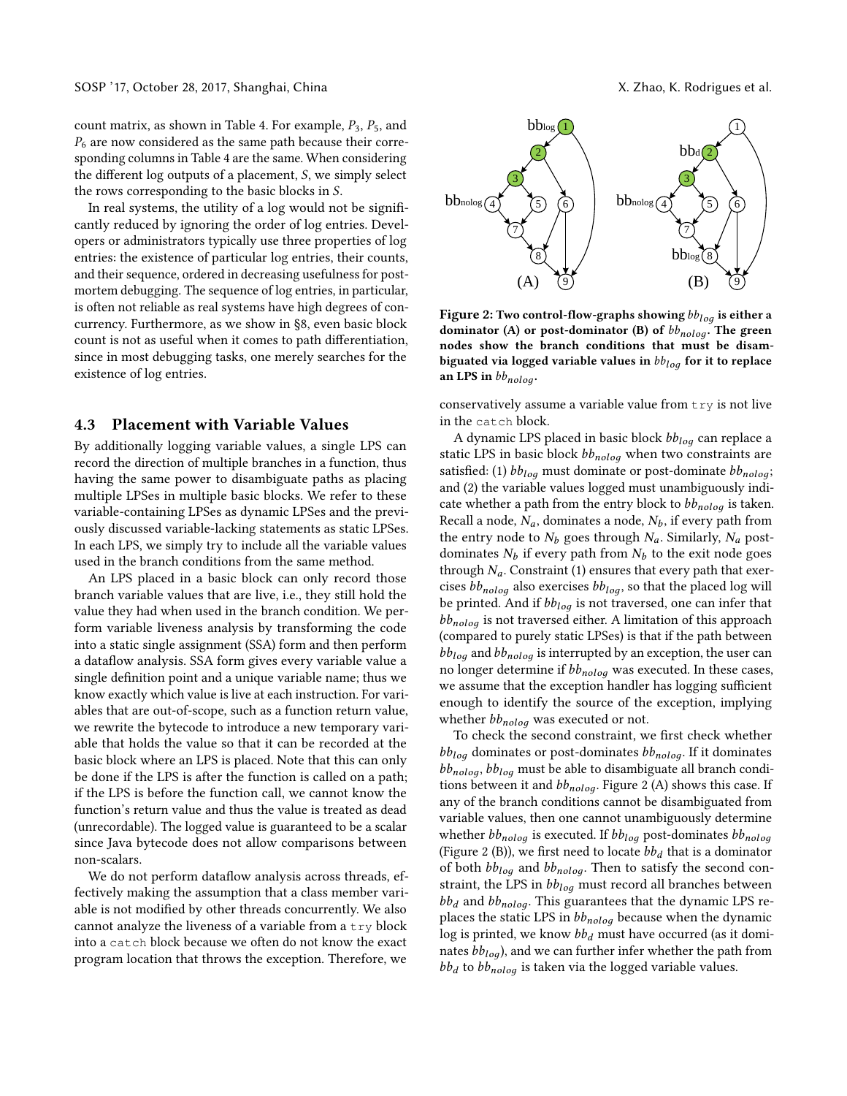count matrix, as shown in Table [4.](#page-5-1) For example,  $P_3$ ,  $P_5$ , and  $P_6$  are now considered as the same path because their corresponding columns in Table [4](#page-5-1) are the same. When considering the different log outputs of a placement, S, we simply select the rows corresponding to the basic blocks in S.

In real systems, the utility of a log would not be significantly reduced by ignoring the order of log entries. Developers or administrators typically use three properties of log entries: the existence of particular log entries, their counts, and their sequence, ordered in decreasing usefulness for postmortem debugging. The sequence of log entries, in particular, is often not reliable as real systems have high degrees of concurrency. Furthermore, as we show in [§8,](#page-10-0) even basic block count is not as useful when it comes to path differentiation, since in most debugging tasks, one merely searches for the existence of log entries.

#### <span id="page-7-0"></span>4.3 Placement with Variable Values

By additionally logging variable values, a single LPS can record the direction of multiple branches in a function, thus having the same power to disambiguate paths as placing multiple LPSes in multiple basic blocks. We refer to these variable-containing LPSes as dynamic LPSes and the previously discussed variable-lacking statements as static LPSes. In each LPS, we simply try to include all the variable values used in the branch conditions from the same method.

An LPS placed in a basic block can only record those branch variable values that are live, i.e., they still hold the value they had when used in the branch condition. We perform variable liveness analysis by transforming the code into a static single assignment (SSA) form and then perform a dataflow analysis. SSA form gives every variable value a single definition point and a unique variable name; thus we know exactly which value is live at each instruction. For variables that are out-of-scope, such as a function return value, we rewrite the bytecode to introduce a new temporary variable that holds the value so that it can be recorded at the basic block where an LPS is placed. Note that this can only be done if the LPS is after the function is called on a path; if the LPS is before the function call, we cannot know the function's return value and thus the value is treated as dead (unrecordable). The logged value is guaranteed to be a scalar since Java bytecode does not allow comparisons between non-scalars.

We do not perform dataflow analysis across threads, effectively making the assumption that a class member variable is not modified by other threads concurrently. We also cannot analyze the liveness of a variable from a  $try$  block into a catch block because we often do not know the exact program location that throws the exception. Therefore, we

<span id="page-7-1"></span>

Figure 2: Two control-flow-graphs showing  $bb_{log}$  is either a dominator (A) or post-dominator (B) of  $bb_{nolog}$ . The green nodes show the branch conditions that must be disambiguated via logged variable values in  $bb_{log}$  for it to replace an LPS in  $bb_{nolog}$ .

conservatively assume a variable value from  $try$  is not live in the catch block.

A dynamic LPS placed in basic block  $bb_{log}$  can replace a static LPS in basic block  $bb_{nolog}$  when two constraints are satisfied: (1)  $bb_{log}$  must dominate or post-dominate  $bb_{nolog}$ ; and (2) the variable values logged must unambiguously indicate whether a path from the entry block to  $bb_{nolog}$  is taken. Recall a node,  $N_a$ , dominates a node,  $N_b$ , if every path from the entry node to  $N_b$  goes through  $N_a$ . Similarly,  $N_a$  postdominates  $N_b$  if every path from  $N_b$  to the exit node goes through  $N_a$ . Constraint (1) ensures that every path that exercises  $bb_{nolog}$  also exercises  $bb_{log}$ , so that the placed log will be printed. And if  $bb_{log}$  is not traversed, one can infer that  $bb_{nolog}$  is not traversed either. A limitation of this approach (compared to purely static LPSes) is that if the path between  $bb_{log}$  and  $bb_{nolog}$  is interrupted by an exception, the user can no longer determine if  $bb_{nolog}$  was executed. In these cases, we assume that the exception handler has logging sufficient enough to identify the source of the exception, implying whether  $bb_{nolog}$  was executed or not.

To check the second constraint, we first check whether  $bb_{log}$  dominates or post-dominates  $bb_{nolog}$ . If it dominates  $bb_{nolog}$ ,  $bb_{log}$  must be able to disambiguate all branch conditions between it and  $bb_{nolog}$ . Figure [2](#page-7-1) (A) shows this case. If any of the branch conditions cannot be disambiguated from variable values, then one cannot unambiguously determine whether  $bb_{nolog}$  is executed. If  $bb_{log}$  post-dominates  $bb_{nolog}$ (Figure [2](#page-7-1) (B)), we first need to locate  $bb_d$  that is a dominator of both  $bb_{log}$  and  $bb_{nolog}$ . Then to satisfy the second constraint, the LPS in  $bb_{log}$  must record all branches between  $bb_d$  and  $bb_{nolog}$ . This guarantees that the dynamic LPS replaces the static LPS in  $bb_{nolog}$  because when the dynamic log is printed, we know  $bb_d$  must have occurred (as it dominates  $bb_{log}$ ), and we can further infer whether the path from  $bb_d$  to  $bb_{nolog}$  is taken via the logged variable values.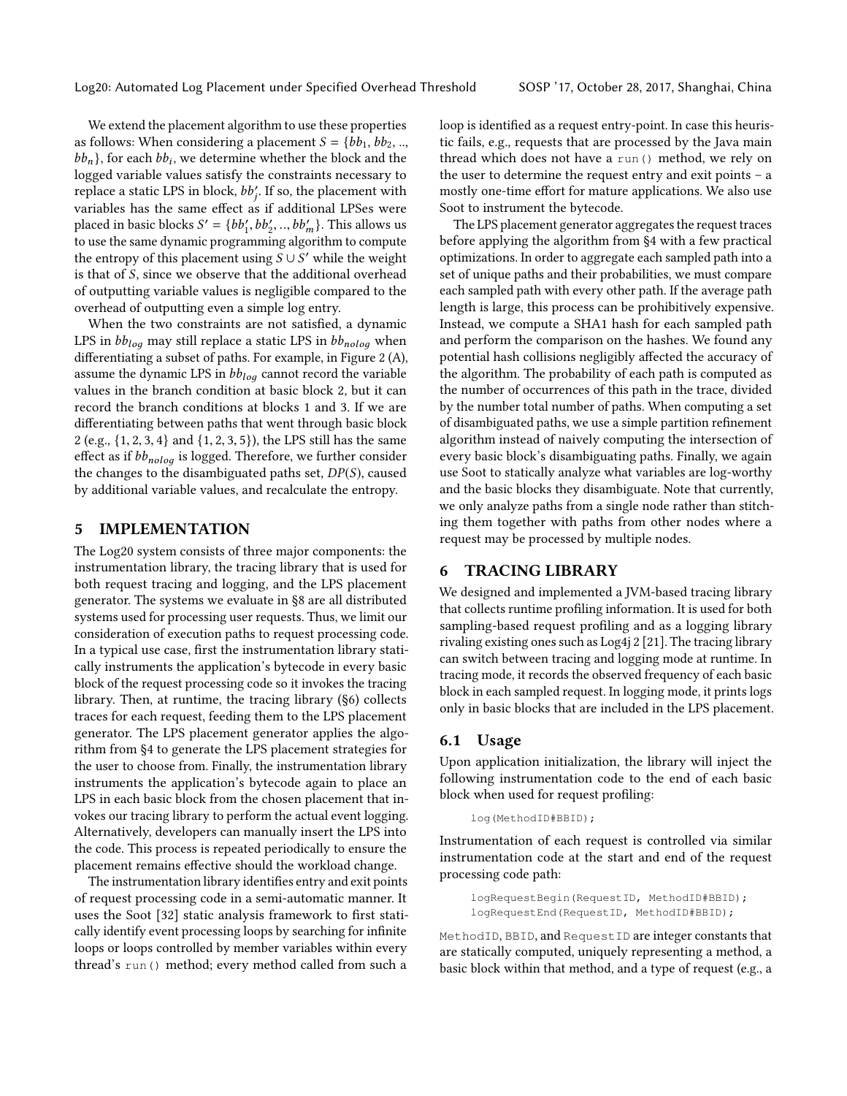We extend the placement algorithm to use these properties as follows: When considering a placement  $S = \{bb_1, bb_2, ...\}$  $bb_n$ , for each  $bb_i$ , we determine whether the block and the logged variable values satisfy the constraints necessary to logged variable values satisfy the constraints necessary to replace a static LPS in block,  $bb'_{j}$ . If so, the placement with variables has the same effect as if additional LPSes were variables has the same effect as if additional LPSes were placed in basic blocks  $S' = \{bb_1, bb'_1, bb'_2, ..., bb'_m\}$ . This allows us to use the same dynamic programming algorithm to compute the entropy of this placement using  $\overline{S} \cup \overline{S}'$  while the weight is that of S since we observe that the additional overhead is that of S, since we observe that the additional overhead of outputting variable values is negligible compared to the overhead of outputting even a simple log entry.

When the two constraints are not satisfied, a dynamic LPS in  $bb_{log}$  may still replace a static LPS in  $bb_{nolog}$  when differentiating a subset of paths. For example, in Figure [2](#page-7-1) (A), assume the dynamic LPS in  $bb_{log}$  cannot record the variable values in the branch condition at basic block 2, but it can record the branch conditions at blocks 1 and 3. If we are differentiating between paths that went through basic block 2 (e.g., {1, <sup>2</sup>, <sup>3</sup>, <sup>4</sup>} and {1, <sup>2</sup>, <sup>3</sup>, <sup>5</sup>}), the LPS still has the same effect as if  $bb_{nolog}$  is logged. Therefore, we further consider the changes to the disambiguated paths set,  $DP(S)$ , caused by additional variable values, and recalculate the entropy.

#### <span id="page-8-0"></span>5 IMPLEMENTATION

The Log20 system consists of three major components: the instrumentation library, the tracing library that is used for both request tracing and logging, and the LPS placement generator. The systems we evaluate in [§8](#page-10-0) are all distributed systems used for processing user requests. Thus, we limit our consideration of execution paths to request processing code. In a typical use case, first the instrumentation library statically instruments the application's bytecode in every basic block of the request processing code so it invokes the tracing library. Then, at runtime, the tracing library ([§6\)](#page-8-1) collects traces for each request, feeding them to the LPS placement generator. The LPS placement generator applies the algorithm from [§4](#page-5-0) to generate the LPS placement strategies for the user to choose from. Finally, the instrumentation library instruments the application's bytecode again to place an LPS in each basic block from the chosen placement that invokes our tracing library to perform the actual event logging. Alternatively, developers can manually insert the LPS into the code. This process is repeated periodically to ensure the placement remains effective should the workload change.

The instrumentation library identifies entry and exit points of request processing code in a semi-automatic manner. It uses the Soot [\[32\]](#page-16-17) static analysis framework to first statically identify event processing loops by searching for infinite loops or loops controlled by member variables within every thread's run() method; every method called from such a

loop is identified as a request entry-point. In case this heuristic fails, e.g., requests that are processed by the Java main thread which does not have a run() method, we rely on the user to determine the request entry and exit points – a mostly one-time effort for mature applications. We also use Soot to instrument the bytecode.

The LPS placement generator aggregates the request traces before applying the algorithm from [§4](#page-5-0) with a few practical optimizations. In order to aggregate each sampled path into a set of unique paths and their probabilities, we must compare each sampled path with every other path. If the average path length is large, this process can be prohibitively expensive. Instead, we compute a SHA1 hash for each sampled path and perform the comparison on the hashes. We found any potential hash collisions negligibly affected the accuracy of the algorithm. The probability of each path is computed as the number of occurrences of this path in the trace, divided by the number total number of paths. When computing a set of disambiguated paths, we use a simple partition refinement algorithm instead of naively computing the intersection of every basic block's disambiguating paths. Finally, we again use Soot to statically analyze what variables are log-worthy and the basic blocks they disambiguate. Note that currently, we only analyze paths from a single node rather than stitching them together with paths from other nodes where a request may be processed by multiple nodes.

## <span id="page-8-1"></span>6 TRACING LIBRARY

We designed and implemented a JVM-based tracing library that collects runtime profiling information. It is used for both sampling-based request profiling and as a logging library rivaling existing ones such as Log4j 2 [\[21\]](#page-16-13). The tracing library can switch between tracing and logging mode at runtime. In tracing mode, it records the observed frequency of each basic block in each sampled request. In logging mode, it prints logs only in basic blocks that are included in the LPS placement.

#### 6.1 Usage

Upon application initialization, the library will inject the following instrumentation code to the end of each basic block when used for request profiling:

```
log(MethodID#BBID);
```
Instrumentation of each request is controlled via similar instrumentation code at the start and end of the request processing code path:

```
logRequestBegin(RequestID, MethodID#BBID);
logRequestEnd(RequestID, MethodID#BBID);
```
MethodID, BBID, and RequestID are integer constants that are statically computed, uniquely representing a method, a basic block within that method, and a type of request (e.g., a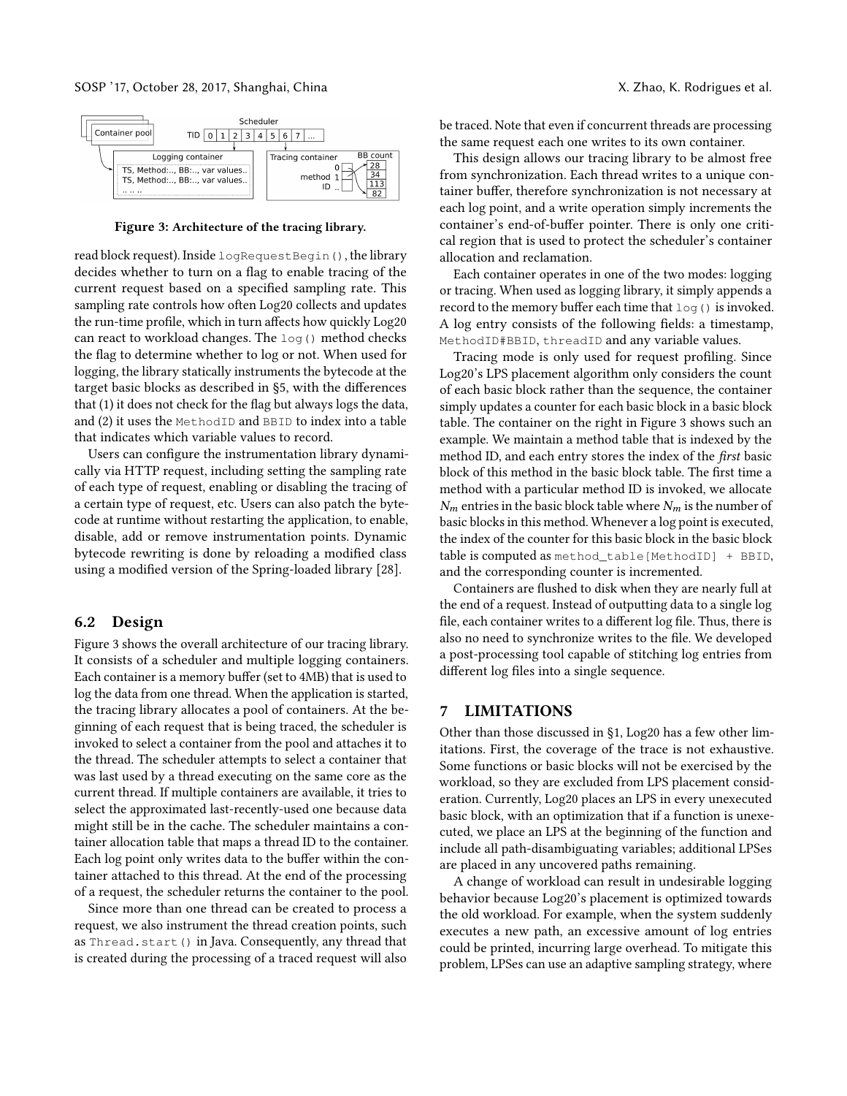<span id="page-9-1"></span>

Figure 3: Architecture of the tracing library.

read block request). Inside logRequestBegin(), the library decides whether to turn on a flag to enable tracing of the current request based on a specified sampling rate. This sampling rate controls how often Log20 collects and updates the run-time profile, which in turn affects how quickly Log20 can react to workload changes. The log() method checks the flag to determine whether to log or not. When used for logging, the library statically instruments the bytecode at the target basic blocks as described in [§5,](#page-8-0) with the differences that (1) it does not check for the flag but always logs the data, and (2) it uses the MethodID and BBID to index into a table that indicates which variable values to record.

Users can configure the instrumentation library dynamically via HTTP request, including setting the sampling rate of each type of request, enabling or disabling the tracing of a certain type of request, etc. Users can also patch the bytecode at runtime without restarting the application, to enable, disable, add or remove instrumentation points. Dynamic bytecode rewriting is done by reloading a modified class using a modified version of the Spring-loaded library [\[28\]](#page-16-18).

#### 6.2 Design

Figure [3](#page-9-1) shows the overall architecture of our tracing library. It consists of a scheduler and multiple logging containers. Each container is a memory buffer (set to 4MB) that is used to log the data from one thread. When the application is started, the tracing library allocates a pool of containers. At the beginning of each request that is being traced, the scheduler is invoked to select a container from the pool and attaches it to the thread. The scheduler attempts to select a container that was last used by a thread executing on the same core as the current thread. If multiple containers are available, it tries to select the approximated last-recently-used one because data might still be in the cache. The scheduler maintains a container allocation table that maps a thread ID to the container. Each log point only writes data to the buffer within the container attached to this thread. At the end of the processing of a request, the scheduler returns the container to the pool.

Since more than one thread can be created to process a request, we also instrument the thread creation points, such as Thread.start() in Java. Consequently, any thread that is created during the processing of a traced request will also be traced. Note that even if concurrent threads are processing the same request each one writes to its own container.

This design allows our tracing library to be almost free from synchronization. Each thread writes to a unique container buffer, therefore synchronization is not necessary at each log point, and a write operation simply increments the container's end-of-buffer pointer. There is only one critical region that is used to protect the scheduler's container allocation and reclamation.

Each container operates in one of the two modes: logging or tracing. When used as logging library, it simply appends a record to the memory buffer each time that  $log($ ) is invoked. A log entry consists of the following fields: a timestamp, MethodID#BBID, threadID and any variable values.

Tracing mode is only used for request profiling. Since Log20's LPS placement algorithm only considers the count of each basic block rather than the sequence, the container simply updates a counter for each basic block in a basic block table. The container on the right in Figure [3](#page-9-1) shows such an example. We maintain a method table that is indexed by the method ID, and each entry stores the index of the first basic block of this method in the basic block table. The first time a method with a particular method ID is invoked, we allocate  $N_m$  entries in the basic block table where  $N_m$  is the number of basic blocks in this method. Whenever a log point is executed, the index of the counter for this basic block in the basic block table is computed as method\_table[MethodID] + BBID, and the corresponding counter is incremented.

Containers are flushed to disk when they are nearly full at the end of a request. Instead of outputting data to a single log file, each container writes to a different log file. Thus, there is also no need to synchronize writes to the file. We developed a post-processing tool capable of stitching log entries from different log files into a single sequence.

## <span id="page-9-0"></span>7 LIMITATIONS

Other than those discussed in [§1,](#page-0-2) Log20 has a few other limitations. First, the coverage of the trace is not exhaustive. Some functions or basic blocks will not be exercised by the workload, so they are excluded from LPS placement consideration. Currently, Log20 places an LPS in every unexecuted basic block, with an optimization that if a function is unexecuted, we place an LPS at the beginning of the function and include all path-disambiguating variables; additional LPSes are placed in any uncovered paths remaining.

A change of workload can result in undesirable logging behavior because Log20's placement is optimized towards the old workload. For example, when the system suddenly executes a new path, an excessive amount of log entries could be printed, incurring large overhead. To mitigate this problem, LPSes can use an adaptive sampling strategy, where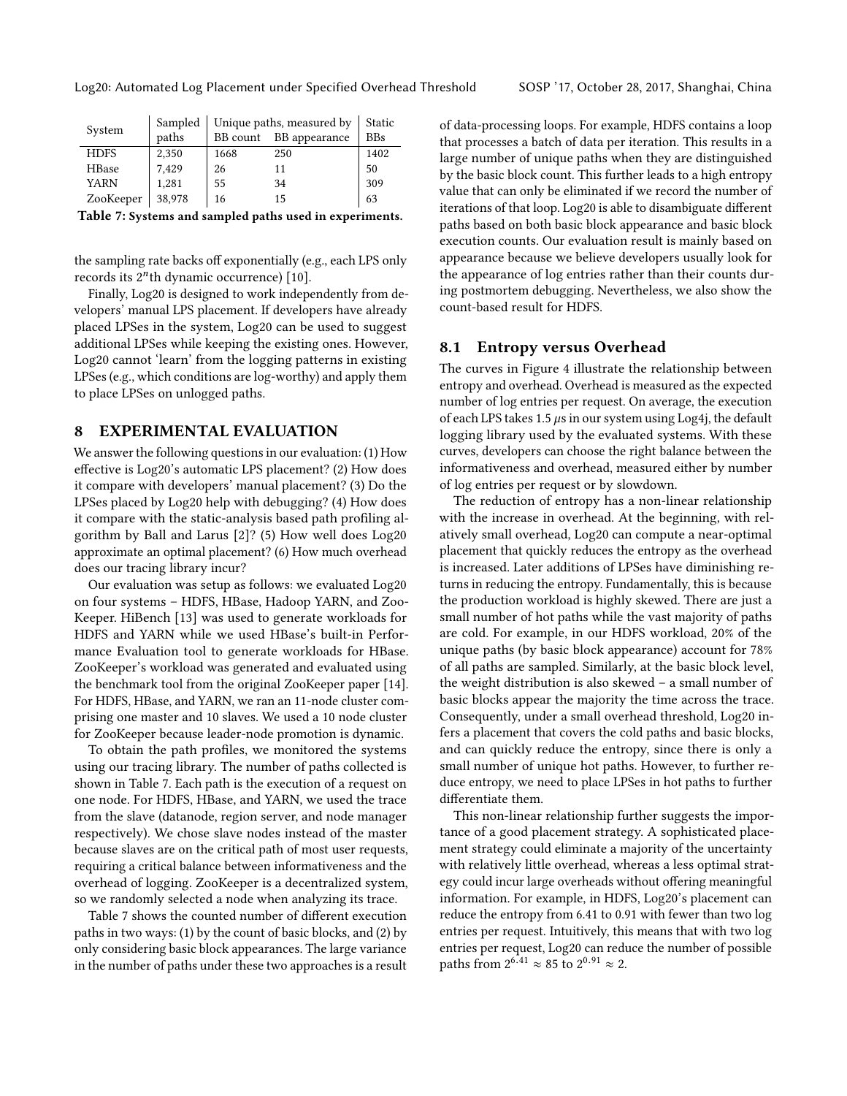<span id="page-10-1"></span>

| System       | Sampled | Unique paths, measured by | Static               |            |
|--------------|---------|---------------------------|----------------------|------------|
|              | paths   | BB count                  | BB appearance        | <b>BBs</b> |
| <b>HDFS</b>  | 2,350   | 1668                      | 250                  | 1402       |
| <b>HBase</b> | 7,429   | 26                        | 11                   | 50         |
| <b>YARN</b>  | 1,281   | 55                        | 34                   | 309        |
| ZooKeeper    | 38,978  | 16                        | 15                   | 63         |
| - -          |         |                           | $\ddot{\phantom{0}}$ |            |

Table 7: Systems and sampled paths used in experiments.

the sampling rate backs off exponentially (e.g., each LPS only records its  $2^n$ th dynamic occurrence) [\[10\]](#page-16-19).

Finally, Log20 is designed to work independently from developers' manual LPS placement. If developers have already placed LPSes in the system, Log20 can be used to suggest additional LPSes while keeping the existing ones. However, Log20 cannot 'learn' from the logging patterns in existing LPSes (e.g., which conditions are log-worthy) and apply them to place LPSes on unlogged paths.

## <span id="page-10-0"></span>8 EXPERIMENTAL EVALUATION

We answer the following questions in our evaluation: (1) How effective is Log20's automatic LPS placement? (2) How does it compare with developers' manual placement? (3) Do the LPSes placed by Log20 help with debugging? (4) How does it compare with the static-analysis based path profiling algorithm by Ball and Larus [\[2\]](#page-15-1)? (5) How well does Log20 approximate an optimal placement? (6) How much overhead does our tracing library incur?

Our evaluation was setup as follows: we evaluated Log20 on four systems – HDFS, HBase, Hadoop YARN, and Zoo-Keeper. HiBench [\[13\]](#page-16-20) was used to generate workloads for HDFS and YARN while we used HBase's built-in Performance Evaluation tool to generate workloads for HBase. ZooKeeper's workload was generated and evaluated using the benchmark tool from the original ZooKeeper paper [\[14\]](#page-16-21). For HDFS, HBase, and YARN, we ran an 11-node cluster comprising one master and 10 slaves. We used a 10 node cluster for ZooKeeper because leader-node promotion is dynamic.

To obtain the path profiles, we monitored the systems using our tracing library. The number of paths collected is shown in Table [7.](#page-10-1) Each path is the execution of a request on one node. For HDFS, HBase, and YARN, we used the trace from the slave (datanode, region server, and node manager respectively). We chose slave nodes instead of the master because slaves are on the critical path of most user requests, requiring a critical balance between informativeness and the overhead of logging. ZooKeeper is a decentralized system, so we randomly selected a node when analyzing its trace.

Table [7](#page-10-1) shows the counted number of different execution paths in two ways: (1) by the count of basic blocks, and (2) by only considering basic block appearances. The large variance in the number of paths under these two approaches is a result

of data-processing loops. For example, HDFS contains a loop that processes a batch of data per iteration. This results in a large number of unique paths when they are distinguished by the basic block count. This further leads to a high entropy value that can only be eliminated if we record the number of iterations of that loop. Log20 is able to disambiguate different paths based on both basic block appearance and basic block execution counts. Our evaluation result is mainly based on appearance because we believe developers usually look for the appearance of log entries rather than their counts during postmortem debugging. Nevertheless, we also show the count-based result for HDFS.

#### <span id="page-10-2"></span>8.1 Entropy versus Overhead

The curves in Figure [4](#page-11-0) illustrate the relationship between entropy and overhead. Overhead is measured as the expected number of log entries per request. On average, the execution of each LPS takes 1.5  $\mu$ s in our system using Log4j, the default logging library used by the evaluated systems. With these curves, developers can choose the right balance between the informativeness and overhead, measured either by number of log entries per request or by slowdown.

The reduction of entropy has a non-linear relationship with the increase in overhead. At the beginning, with relatively small overhead, Log20 can compute a near-optimal placement that quickly reduces the entropy as the overhead is increased. Later additions of LPSes have diminishing returns in reducing the entropy. Fundamentally, this is because the production workload is highly skewed. There are just a small number of hot paths while the vast majority of paths are cold. For example, in our HDFS workload, 20% of the unique paths (by basic block appearance) account for 78% of all paths are sampled. Similarly, at the basic block level, the weight distribution is also skewed – a small number of basic blocks appear the majority the time across the trace. Consequently, under a small overhead threshold, Log20 infers a placement that covers the cold paths and basic blocks, and can quickly reduce the entropy, since there is only a small number of unique hot paths. However, to further reduce entropy, we need to place LPSes in hot paths to further differentiate them.

This non-linear relationship further suggests the importance of a good placement strategy. A sophisticated placement strategy could eliminate a majority of the uncertainty with relatively little overhead, whereas a less optimal strategy could incur large overheads without offering meaningful information. For example, in HDFS, Log20's placement can reduce the entropy from 6.41 to 0.91 with fewer than two log entries per request. Intuitively, this means that with two log entries per request, Log20 can reduce the number of possible paths from  $2^{6.41} \approx 85$  to  $2^{0.91} \approx 2$ .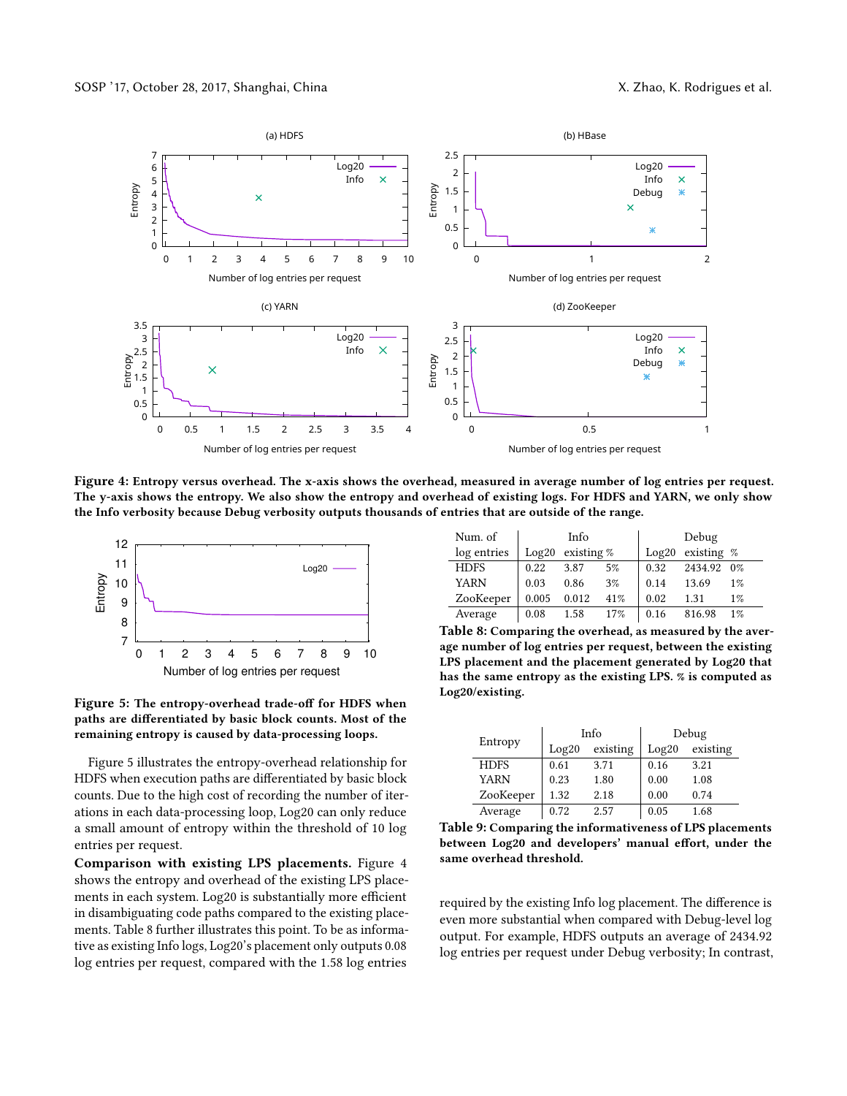<span id="page-11-0"></span>

Figure 4: Entropy versus overhead. The x-axis shows the overhead, measured in average number of log entries per request. The y-axis shows the entropy. We also show the entropy and overhead of existing logs. For HDFS and YARN, we only show the Info verbosity because Debug verbosity outputs thousands of entries that are outside of the range.

<span id="page-11-1"></span>

Figure 5: The entropy-overhead trade-off for HDFS when paths are differentiated by basic block counts. Most of the remaining entropy is caused by data-processing loops.

Figure [5](#page-11-1) illustrates the entropy-overhead relationship for HDFS when execution paths are differentiated by basic block counts. Due to the high cost of recording the number of iterations in each data-processing loop, Log20 can only reduce a small amount of entropy within the threshold of 10 log entries per request.

Comparison with existing LPS placements. Figure [4](#page-11-0) shows the entropy and overhead of the existing LPS placements in each system. Log20 is substantially more efficient in disambiguating code paths compared to the existing placements. Table [8](#page-11-2) further illustrates this point. To be as informative as existing Info logs, Log20's placement only outputs 0.08 log entries per request, compared with the 1.58 log entries

<span id="page-11-2"></span>

| Num. of     | Info  |            |     | Debug |            |       |
|-------------|-------|------------|-----|-------|------------|-------|
| log entries | Log20 | existing % |     | Log20 | existing % |       |
| <b>HDFS</b> | 0.22  | 3.87       | 5%  | 0.32  | 2434.92 0% |       |
| <b>YARN</b> | 0.03  | 0.86       | 3%  | 0.14  | 13.69      | $1\%$ |
| ZooKeeper   | 0.005 | 0.012      | 41% | 0.02  | 1.31       | $1\%$ |
| Average     | 0.08  | 1.58       | 17% | 0.16  | 816.98     | $1\%$ |

Table 8: Comparing the overhead, as measured by the average number of log entries per request, between the existing LPS placement and the placement generated by Log20 that has the same entropy as the existing LPS. % is computed as Log20/existing.

<span id="page-11-3"></span>

| Entropy     |       | Info     | Debug |          |  |
|-------------|-------|----------|-------|----------|--|
|             | Log20 | existing | Log20 | existing |  |
| <b>HDFS</b> | 0.61  | 3.71     | 0.16  | 3.21     |  |
| <b>YARN</b> | 0.23  | 1.80     | 0.00  | 1.08     |  |
| ZooKeeper   | 1.32  | 2.18     | 0.00  | 0.74     |  |
| Average     | 0.72  | 2.57     | 0.05  | 1.68     |  |

Table 9: Comparing the informativeness of LPS placements between Log20 and developers' manual effort, under the same overhead threshold.

required by the existing Info log placement. The difference is even more substantial when compared with Debug-level log output. For example, HDFS outputs an average of 2434.92 log entries per request under Debug verbosity; In contrast,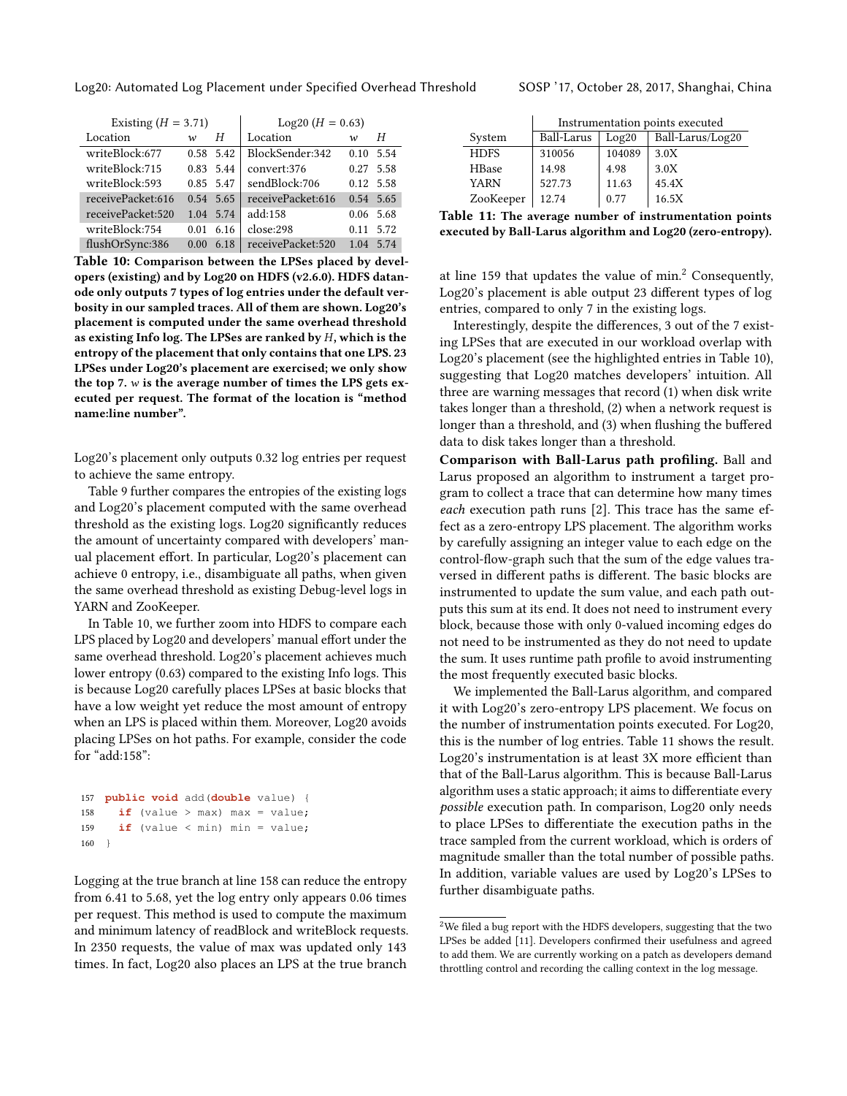Log20: Automated Log Placement under Specified Overhead Threshold SOSP '17, October 28, 2017, Shanghai, China

<span id="page-12-0"></span>

| Existing $(H = 3.71)$ |                  |           | $Log20 (H = 0.63)$ |                  |                   |  |
|-----------------------|------------------|-----------|--------------------|------------------|-------------------|--|
| Location              | $\boldsymbol{w}$ | Н         | Location           | $\boldsymbol{w}$ | Н                 |  |
| writeBlock:677        |                  | 0.58 5.42 | BlockSender:342    |                  | $0.10 \quad 5.54$ |  |
| writeBlock:715        |                  | 0.83 5.44 | convert:376        |                  | 0.27 5.58         |  |
| writeBlock:593        |                  | 0.85 5.47 | sendBlock:706      |                  | 0.12 5.58         |  |
| receivePacket:616     |                  | 0.54 5.65 | receivePacket:616  |                  | 0.54 5.65         |  |
| receivePacket:520     |                  | 1.04 5.74 | add:158            |                  | $0.06$ 5.68       |  |
| writeBlock:754        | 0.01             | 6.16      | close:298          | 0.11             | 5.72              |  |
| flushOrSync:386       | 0.00             | 6.18      | receivePacket:520  |                  | 1.04 5.74         |  |

Table 10: Comparison between the LPSes placed by developers (existing) and by Log20 on HDFS (v2.6.0). HDFS datanode only outputs 7 types of log entries under the default verbosity in our sampled traces. All of them are shown. Log20's placement is computed under the same overhead threshold as existing Info log. The LPSes are ranked by H, which is the entropy of the placement that only contains that one LPS. 23 LPSes under Log20's placement are exercised; we only show the top 7. w is the average number of times the LPS gets executed per request. The format of the location is "method name:line number".

Log20's placement only outputs 0.32 log entries per request to achieve the same entropy.

Table [9](#page-11-3) further compares the entropies of the existing logs and Log20's placement computed with the same overhead threshold as the existing logs. Log20 significantly reduces the amount of uncertainty compared with developers' manual placement effort. In particular, Log20's placement can achieve 0 entropy, i.e., disambiguate all paths, when given the same overhead threshold as existing Debug-level logs in YARN and ZooKeeper.

In Table [10,](#page-12-0) we further zoom into HDFS to compare each LPS placed by Log20 and developers' manual effort under the same overhead threshold. Log20's placement achieves much lower entropy (0.63) compared to the existing Info logs. This is because Log20 carefully places LPSes at basic blocks that have a low weight yet reduce the most amount of entropy when an LPS is placed within them. Moreover, Log20 avoids placing LPSes on hot paths. For example, consider the code for "add:158":

```
157 public void add(double value) {
158 if (value > max) max = value;
159 if (value < min) min = value;
160 }
```
Logging at the true branch at line 158 can reduce the entropy from 6.41 to 5.68, yet the log entry only appears 0.06 times per request. This method is used to compute the maximum and minimum latency of readBlock and writeBlock requests. In 2350 requests, the value of max was updated only 143 times. In fact, Log20 also places an LPS at the true branch

<span id="page-12-2"></span>

|             | Instrumentation points executed |        |                  |  |  |  |  |
|-------------|---------------------------------|--------|------------------|--|--|--|--|
| System      | Ball-Larus                      | Log20  | Ball-Larus/Log20 |  |  |  |  |
| <b>HDFS</b> | 310056                          | 104089 | 3.0X             |  |  |  |  |
| HBase       | 14.98                           | 4.98   | 3.0X             |  |  |  |  |
| <b>YARN</b> | 527.73                          | 11.63  | 45.4X            |  |  |  |  |
| ZooKeeper   | 12.74                           | 0.77   | 16.5X            |  |  |  |  |

Table 11: The average number of instrumentation points executed by Ball-Larus algorithm and Log20 (zero-entropy).

at line 159 that updates the value of min.[2](#page-12-1) Consequently, Log20's placement is able output 23 different types of log entries, compared to only 7 in the existing logs.

Interestingly, despite the differences, 3 out of the 7 existing LPSes that are executed in our workload overlap with Log20's placement (see the highlighted entries in Table [10\)](#page-12-0), suggesting that Log20 matches developers' intuition. All three are warning messages that record (1) when disk write takes longer than a threshold, (2) when a network request is longer than a threshold, and (3) when flushing the buffered data to disk takes longer than a threshold.

Comparison with Ball-Larus path profiling. Ball and Larus proposed an algorithm to instrument a target program to collect a trace that can determine how many times each execution path runs [\[2\]](#page-15-1). This trace has the same effect as a zero-entropy LPS placement. The algorithm works by carefully assigning an integer value to each edge on the control-flow-graph such that the sum of the edge values traversed in different paths is different. The basic blocks are instrumented to update the sum value, and each path outputs this sum at its end. It does not need to instrument every block, because those with only 0-valued incoming edges do not need to be instrumented as they do not need to update the sum. It uses runtime path profile to avoid instrumenting the most frequently executed basic blocks.

We implemented the Ball-Larus algorithm, and compared it with Log20's zero-entropy LPS placement. We focus on the number of instrumentation points executed. For Log20, this is the number of log entries. Table [11](#page-12-2) shows the result. Log20's instrumentation is at least 3X more efficient than that of the Ball-Larus algorithm. This is because Ball-Larus algorithm uses a static approach; it aims to differentiate every possible execution path. In comparison, Log20 only needs to place LPSes to differentiate the execution paths in the trace sampled from the current workload, which is orders of magnitude smaller than the total number of possible paths. In addition, variable values are used by Log20's LPSes to further disambiguate paths.

<span id="page-12-1"></span> $^2\rm{We}$  filed a bug report with the HDFS developers, suggesting that the two LPSes be added [\[11\]](#page-16-22). Developers confirmed their usefulness and agreed to add them. We are currently working on a patch as developers demand throttling control and recording the calling context in the log message.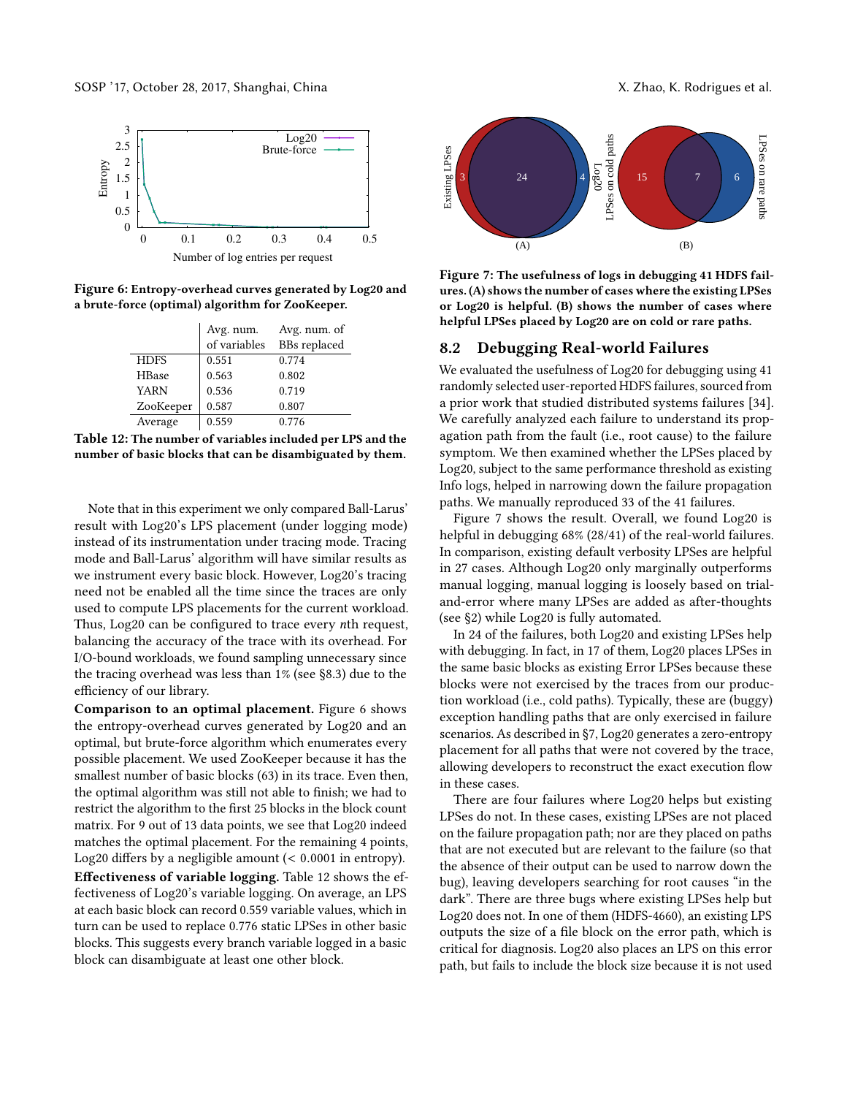<span id="page-13-0"></span>

<span id="page-13-1"></span>Figure 6: Entropy-overhead curves generated by Log20 and a brute-force (optimal) algorithm for ZooKeeper.

|               | Avg. num.<br>of variables | Avg. num. of<br><b>BBs</b> replaced |
|---------------|---------------------------|-------------------------------------|
|               |                           |                                     |
| <b>HDFS</b>   | 0.551                     | 0.774                               |
| <b>H</b> Base | 0.563                     | 0.802                               |
| YARN          | 0.536                     | 0.719                               |
| ZooKeeper     | 0.587                     | 0.807                               |
| Average       | 0.559                     | 0.776                               |

Table 12: The number of variables included per LPS and the number of basic blocks that can be disambiguated by them.

Note that in this experiment we only compared Ball-Larus' result with Log20's LPS placement (under logging mode) instead of its instrumentation under tracing mode. Tracing mode and Ball-Larus' algorithm will have similar results as we instrument every basic block. However, Log20's tracing need not be enabled all the time since the traces are only used to compute LPS placements for the current workload. Thus, Log20 can be configured to trace every nth request, balancing the accuracy of the trace with its overhead. For I/O-bound workloads, we found sampling unnecessary since the tracing overhead was less than 1% (see [§8.3\)](#page-14-0) due to the efficiency of our library.

Comparison to an optimal placement. Figure [6](#page-13-0) shows the entropy-overhead curves generated by Log20 and an optimal, but brute-force algorithm which enumerates every possible placement. We used ZooKeeper because it has the smallest number of basic blocks (63) in its trace. Even then, the optimal algorithm was still not able to finish; we had to restrict the algorithm to the first 25 blocks in the block count matrix. For 9 out of 13 data points, we see that Log20 indeed matches the optimal placement. For the remaining 4 points, Log20 differs by a negligible amount (< <sup>0</sup>.<sup>0001</sup> in entropy). Effectiveness of variable logging. Table [12](#page-13-1) shows the ef-

fectiveness of Log20's variable logging. On average, an LPS at each basic block can record 0.559 variable values, which in turn can be used to replace 0.776 static LPSes in other basic blocks. This suggests every branch variable logged in a basic block can disambiguate at least one other block.

<span id="page-13-2"></span>

Figure 7: The usefulness of logs in debugging 41 HDFS failures. (A) shows the number of cases where the existing LPSes or Log20 is helpful. (B) shows the number of cases where helpful LPSes placed by Log20 are on cold or rare paths.

## 8.2 Debugging Real-world Failures

We evaluated the usefulness of Log20 for debugging using 41 randomly selected user-reported HDFS failures, sourced from a prior work that studied distributed systems failures [\[34\]](#page-16-14). We carefully analyzed each failure to understand its propagation path from the fault (i.e., root cause) to the failure symptom. We then examined whether the LPSes placed by Log20, subject to the same performance threshold as existing Info logs, helped in narrowing down the failure propagation paths. We manually reproduced 33 of the 41 failures.

Figure [7](#page-13-2) shows the result. Overall, we found Log20 is helpful in debugging 68% (28/41) of the real-world failures. In comparison, existing default verbosity LPSes are helpful in 27 cases. Although Log20 only marginally outperforms manual logging, manual logging is loosely based on trialand-error where many LPSes are added as after-thoughts (see [§2\)](#page-2-0) while Log20 is fully automated.

In 24 of the failures, both Log20 and existing LPSes help with debugging. In fact, in 17 of them, Log20 places LPSes in the same basic blocks as existing Error LPSes because these blocks were not exercised by the traces from our production workload (i.e., cold paths). Typically, these are (buggy) exception handling paths that are only exercised in failure scenarios. As described in [§7,](#page-9-0) Log20 generates a zero-entropy placement for all paths that were not covered by the trace, allowing developers to reconstruct the exact execution flow in these cases.

There are four failures where Log20 helps but existing LPSes do not. In these cases, existing LPSes are not placed on the failure propagation path; nor are they placed on paths that are not executed but are relevant to the failure (so that the absence of their output can be used to narrow down the bug), leaving developers searching for root causes "in the dark". There are three bugs where existing LPSes help but Log20 does not. In one of them (HDFS-4660), an existing LPS outputs the size of a file block on the error path, which is critical for diagnosis. Log20 also places an LPS on this error path, but fails to include the block size because it is not used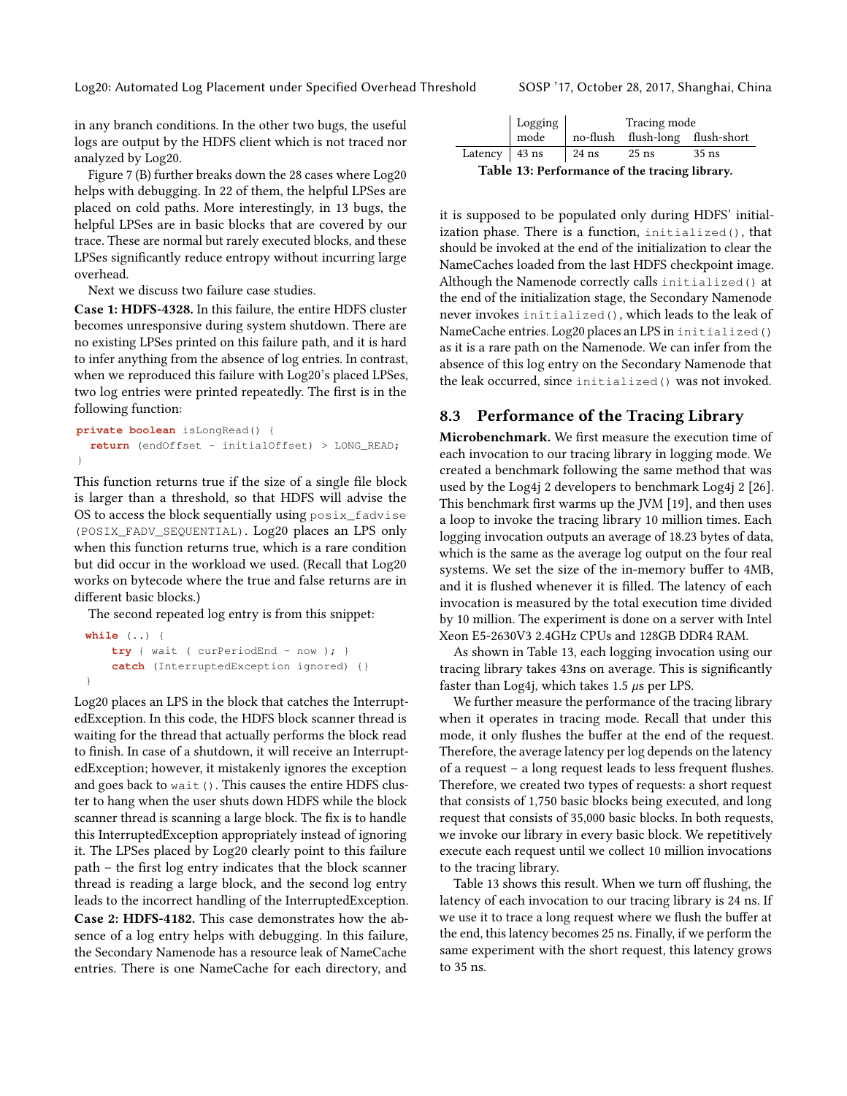in any branch conditions. In the other two bugs, the useful logs are output by the HDFS client which is not traced nor analyzed by Log20.

Figure [7](#page-13-2) (B) further breaks down the 28 cases where Log20 helps with debugging. In 22 of them, the helpful LPSes are placed on cold paths. More interestingly, in 13 bugs, the helpful LPSes are in basic blocks that are covered by our trace. These are normal but rarely executed blocks, and these LPSes significantly reduce entropy without incurring large overhead.

Next we discuss two failure case studies.

Case 1: HDFS-4328. In this failure, the entire HDFS cluster becomes unresponsive during system shutdown. There are no existing LPSes printed on this failure path, and it is hard to infer anything from the absence of log entries. In contrast, when we reproduced this failure with Log20's placed LPSes, two log entries were printed repeatedly. The first is in the following function:

```
private boolean isLongRead() {
  return (endOffset - initialOffset) > LONG_READ;
}
```
This function returns true if the size of a single file block is larger than a threshold, so that HDFS will advise the OS to access the block sequentially using posix\_fadvise (POSIX\_FADV\_SEQUENTIAL). Log20 places an LPS only when this function returns true, which is a rare condition but did occur in the workload we used. (Recall that Log20 works on bytecode where the true and false returns are in different basic blocks.)

The second repeated log entry is from this snippet:

```
while (..) {
    try { wait ( curPeriodEnd - now ); }
    catch (InterruptedException ignored) {}
}
```
Log20 places an LPS in the block that catches the InterruptedException. In this code, the HDFS block scanner thread is waiting for the thread that actually performs the block read to finish. In case of a shutdown, it will receive an InterruptedException; however, it mistakenly ignores the exception and goes back to wait (). This causes the entire HDFS cluster to hang when the user shuts down HDFS while the block scanner thread is scanning a large block. The fix is to handle this InterruptedException appropriately instead of ignoring it. The LPSes placed by Log20 clearly point to this failure path – the first log entry indicates that the block scanner thread is reading a large block, and the second log entry leads to the incorrect handling of the InterruptedException.

Case 2: HDFS-4182. This case demonstrates how the absence of a log entry helps with debugging. In this failure, the Secondary Namenode has a resource leak of NameCache entries. There is one NameCache for each directory, and

<span id="page-14-1"></span>

|                       | $\begin{array}{ c c c c c } \hline \text{Logging} & \text{no} \\ \hline \text{mode} & \text{no} \end{array}$ | Tracing mode   |                                 |         |
|-----------------------|--------------------------------------------------------------------------------------------------------------|----------------|---------------------------------|---------|
|                       |                                                                                                              |                | no-flush flush-long flush-short |         |
| Latency $\vert$ 43 ns |                                                                                                              | 24 $\text{ns}$ | $25$ ns                         | $35$ ns |

Table 13: Performance of the tracing library.

it is supposed to be populated only during HDFS' initialization phase. There is a function, initialized(), that should be invoked at the end of the initialization to clear the NameCaches loaded from the last HDFS checkpoint image. Although the Namenode correctly calls initialized() at the end of the initialization stage, the Secondary Namenode never invokes initialized(), which leads to the leak of NameCache entries. Log20 places an LPS in initialized() as it is a rare path on the Namenode. We can infer from the absence of this log entry on the Secondary Namenode that the leak occurred, since initialized() was not invoked.

# <span id="page-14-0"></span>8.3 Performance of the Tracing Library

Microbenchmark. We first measure the execution time of each invocation to our tracing library in logging mode. We created a benchmark following the same method that was used by the Log4j 2 developers to benchmark Log4j 2 [\[26\]](#page-16-23). This benchmark first warms up the JVM [\[19\]](#page-16-24), and then uses a loop to invoke the tracing library 10 million times. Each logging invocation outputs an average of 18.23 bytes of data, which is the same as the average log output on the four real systems. We set the size of the in-memory buffer to 4MB, and it is flushed whenever it is filled. The latency of each invocation is measured by the total execution time divided by 10 million. The experiment is done on a server with Intel Xeon E5-2630V3 2.4GHz CPUs and 128GB DDR4 RAM.

As shown in Table [13,](#page-14-1) each logging invocation using our tracing library takes 43ns on average. This is significantly faster than Log4j, which takes  $1.5 \mu s$  per LPS.

We further measure the performance of the tracing library when it operates in tracing mode. Recall that under this mode, it only flushes the buffer at the end of the request. Therefore, the average latency per log depends on the latency of a request – a long request leads to less frequent flushes. Therefore, we created two types of requests: a short request that consists of 1,750 basic blocks being executed, and long request that consists of 35,000 basic blocks. In both requests, we invoke our library in every basic block. We repetitively execute each request until we collect 10 million invocations to the tracing library.

Table [13](#page-14-1) shows this result. When we turn off flushing, the latency of each invocation to our tracing library is 24 ns. If we use it to trace a long request where we flush the buffer at the end, this latency becomes 25 ns. Finally, if we perform the same experiment with the short request, this latency grows to 35 ns.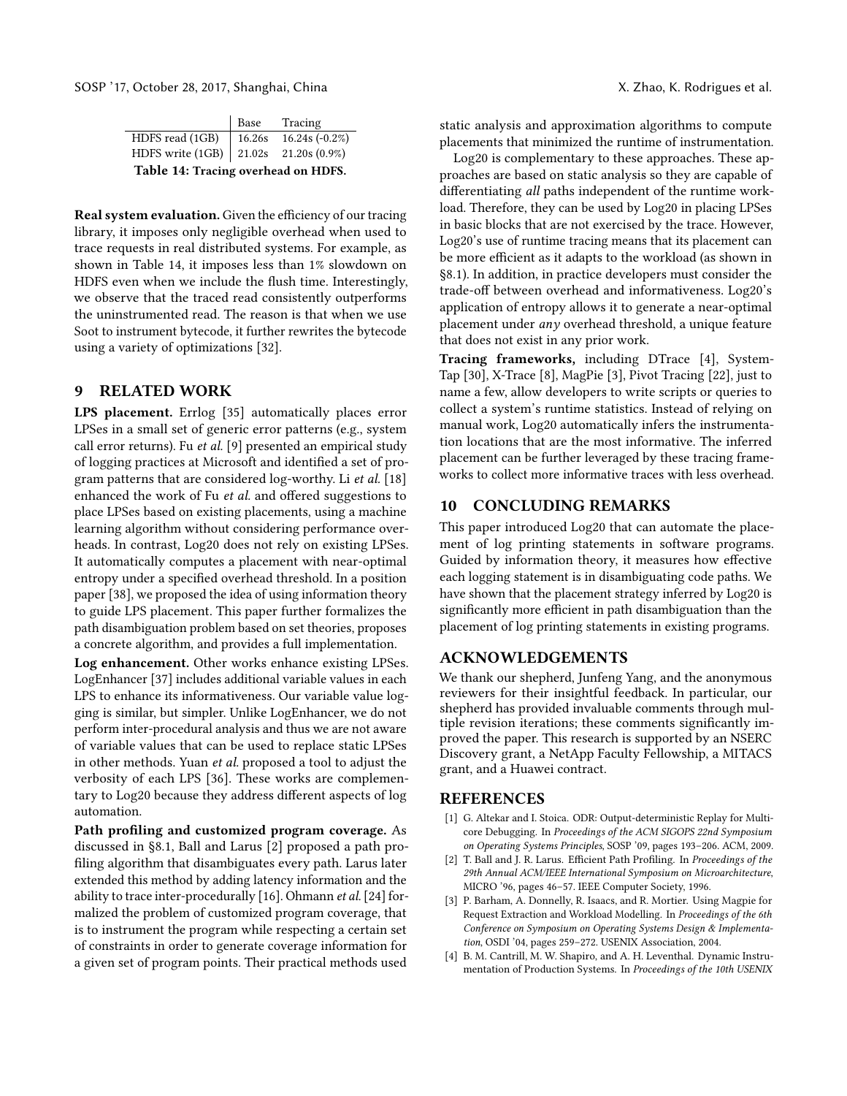<span id="page-15-3"></span>

|                                         |  | Base Tracing              |  |  |  |
|-----------------------------------------|--|---------------------------|--|--|--|
| HDFS read (1GB)                         |  | $16.26s$ $16.24s$ (-0.2%) |  |  |  |
| HDFS write (1GB)   21.02s 21.20s (0.9%) |  |                           |  |  |  |
| Table 14: Tracing overhead on HDFS.     |  |                           |  |  |  |

Real system evaluation. Given the efficiency of our tracing library, it imposes only negligible overhead when used to trace requests in real distributed systems. For example, as shown in Table [14,](#page-15-3) it imposes less than 1% slowdown on HDFS even when we include the flush time. Interestingly, we observe that the traced read consistently outperforms the uninstrumented read. The reason is that when we use Soot to instrument bytecode, it further rewrites the bytecode using a variety of optimizations [\[32\]](#page-16-17).

### <span id="page-15-2"></span>9 RELATED WORK

LPS placement. Errlog [\[35\]](#page-16-2) automatically places error LPSes in a small set of generic error patterns (e.g., system call error returns). Fu et al. [\[9\]](#page-16-25) presented an empirical study of logging practices at Microsoft and identified a set of pro-gram patterns that are considered log-worthy. Li et al. [\[18\]](#page-16-26) enhanced the work of Fu et al. and offered suggestions to place LPSes based on existing placements, using a machine learning algorithm without considering performance overheads. In contrast, Log20 does not rely on existing LPSes. It automatically computes a placement with near-optimal entropy under a specified overhead threshold. In a position paper [\[38\]](#page-16-27), we proposed the idea of using information theory to guide LPS placement. This paper further formalizes the path disambiguation problem based on set theories, proposes a concrete algorithm, and provides a full implementation.

Log enhancement. Other works enhance existing LPSes. LogEnhancer [\[37\]](#page-16-0) includes additional variable values in each LPS to enhance its informativeness. Our variable value logging is similar, but simpler. Unlike LogEnhancer, we do not perform inter-procedural analysis and thus we are not aware of variable values that can be used to replace static LPSes in other methods. Yuan et al. proposed a tool to adjust the verbosity of each LPS [\[36\]](#page-16-1). These works are complementary to Log20 because they address different aspects of log automation.

Path profiling and customized program coverage. As discussed in [§8.1,](#page-10-2) Ball and Larus [\[2\]](#page-15-1) proposed a path profiling algorithm that disambiguates every path. Larus later extended this method by adding latency information and the ability to trace inter-procedurally [\[16\]](#page-16-28). Ohmann et al. [\[24\]](#page-16-29) formalized the problem of customized program coverage, that is to instrument the program while respecting a certain set of constraints in order to generate coverage information for a given set of program points. Their practical methods used

static analysis and approximation algorithms to compute placements that minimized the runtime of instrumentation.

Log20 is complementary to these approaches. These approaches are based on static analysis so they are capable of differentiating all paths independent of the runtime workload. Therefore, they can be used by Log20 in placing LPSes in basic blocks that are not exercised by the trace. However, Log20's use of runtime tracing means that its placement can be more efficient as it adapts to the workload (as shown in [§8.1\)](#page-10-2). In addition, in practice developers must consider the trade-off between overhead and informativeness. Log20's application of entropy allows it to generate a near-optimal placement under any overhead threshold, a unique feature that does not exist in any prior work.

Tracing frameworks, including DTrace [\[4\]](#page-15-4), System-Tap [\[30\]](#page-16-30), X-Trace [\[8\]](#page-16-31), MagPie [\[3\]](#page-15-5), Pivot Tracing [\[22\]](#page-16-32), just to name a few, allow developers to write scripts or queries to collect a system's runtime statistics. Instead of relying on manual work, Log20 automatically infers the instrumentation locations that are the most informative. The inferred placement can be further leveraged by these tracing frameworks to collect more informative traces with less overhead.

## 10 CONCLUDING REMARKS

This paper introduced Log20 that can automate the placement of log printing statements in software programs. Guided by information theory, it measures how effective each logging statement is in disambiguating code paths. We have shown that the placement strategy inferred by Log20 is significantly more efficient in path disambiguation than the placement of log printing statements in existing programs.

## ACKNOWLEDGEMENTS

We thank our shepherd, Junfeng Yang, and the anonymous reviewers for their insightful feedback. In particular, our shepherd has provided invaluable comments through multiple revision iterations; these comments significantly improved the paper. This research is supported by an NSERC Discovery grant, a NetApp Faculty Fellowship, a MITACS grant, and a Huawei contract.

#### REFERENCES

- <span id="page-15-0"></span>[1] G. Altekar and I. Stoica. ODR: Output-deterministic Replay for Multicore Debugging. In Proceedings of the ACM SIGOPS 22nd Symposium on Operating Systems Principles, SOSP '09, pages 193–206. ACM, 2009.
- <span id="page-15-1"></span>[2] T. Ball and J. R. Larus. Efficient Path Profiling. In Proceedings of the 29th Annual ACM/IEEE International Symposium on Microarchitecture, MICRO '96, pages 46–57. IEEE Computer Society, 1996.
- <span id="page-15-5"></span>[3] P. Barham, A. Donnelly, R. Isaacs, and R. Mortier. Using Magpie for Request Extraction and Workload Modelling. In Proceedings of the 6th Conference on Symposium on Operating Systems Design & Implementation, OSDI '04, pages 259–272. USENIX Association, 2004.
- <span id="page-15-4"></span>[4] B. M. Cantrill, M. W. Shapiro, and A. H. Leventhal. Dynamic Instrumentation of Production Systems. In Proceedings of the 10th USENIX